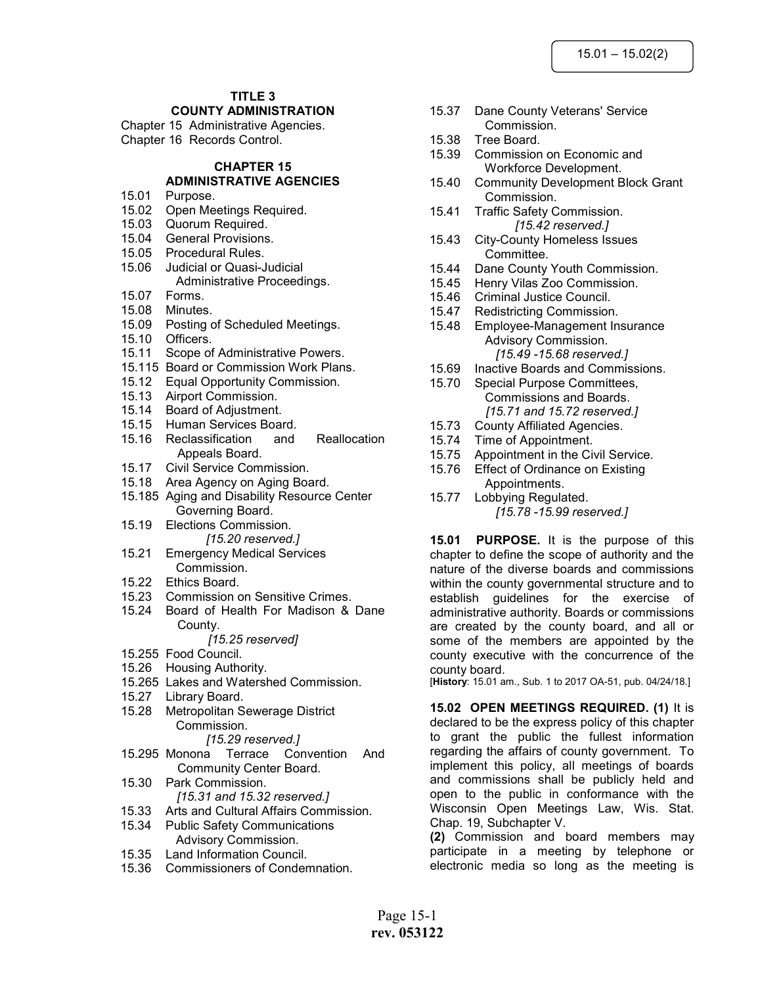# TITLE 3

# COUNTY ADMINISTRATION

Chapter 15 Administrative Agencies. Chapter 16 Records Control.

# CHAPTER 15

#### ADMINISTRATIVE AGENCIES 15.01 Purpose.

- 15.02 Open Meetings Required.
- 15.03 Quorum Required.
- 15.04 General Provisions.
- 15.05 Procedural Rules.
- 15.06 Judicial or Quasi-Judicial Administrative Proceedings.
- 15.07 Forms.
- 15.08 Minutes.
- 15.09 Posting of Scheduled Meetings.
- 15.10 Officers.
- 15.11 Scope of Administrative Powers.
- 15.115 Board or Commission Work Plans.
- 15.12 Equal Opportunity Commission.
- 15.13 Airport Commission.
- 15.14 Board of Adjustment.
- 15.15 Human Services Board.
- 15.16 Reclassification and Reallocation Appeals Board.
- 15.17 Civil Service Commission.
- 15.18 Area Agency on Aging Board.
- 15.185 Aging and Disability Resource Center Governing Board.
- 15.19 Elections Commission. [15.20 reserved.]
- 15.21 Emergency Medical Services Commission.
- 15.22 Ethics Board.
- 15.23 Commission on Sensitive Crimes.
- 15.24 Board of Health For Madison & Dane County.

#### [15.25 reserved]

- 15.255 Food Council.
- 15.26 Housing Authority.
- 15.265 Lakes and Watershed Commission.
- 15.27 Library Board.
- 15.28 Metropolitan Sewerage District Commission.

#### [15.29 reserved.]

- 15.295 Monona Terrace Convention And Community Center Board.
- 15.30 Park Commission. [15.31 and 15.32 reserved.]
- 15.33 Arts and Cultural Affairs Commission.
- 15.34 Public Safety Communications Advisory Commission.
- 15.35 Land Information Council.
- 15.36 Commissioners of Condemnation.
- 15.37 Dane County Veterans' Service Commission.
- 15.38 Tree Board.
- 15.39 Commission on Economic and Workforce Development.
- 15.40 Community Development Block Grant Commission.
- 15.41 Traffic Safety Commission. [15.42 reserved.]
- 15.43 City-County Homeless Issues Committee.
- 15.44 Dane County Youth Commission.
- 15.45 Henry Vilas Zoo Commission.
- 15.46 Criminal Justice Council.
- 15.47 Redistricting Commission.
- 15.48 Employee-Management Insurance Advisory Commission. [15.49 -15.68 reserved.]
- 15.69 Inactive Boards and Commissions.
- 15.70 Special Purpose Committees, Commissions and Boards. [15.71 and 15.72 reserved.]
- 15.73 County Affiliated Agencies.
- 15.74 Time of Appointment.
- 15.75 Appointment in the Civil Service.
- 15.76 Effect of Ordinance on Existing Appointments.
- 15.77 Lobbying Regulated. [15.78 -15.99 reserved.]

15.01 PURPOSE. It is the purpose of this chapter to define the scope of authority and the nature of the diverse boards and commissions within the county governmental structure and to establish guidelines for the exercise of administrative authority. Boards or commissions are created by the county board, and all or some of the members are appointed by the county executive with the concurrence of the county board.

[History: 15.01 am., Sub. 1 to 2017 OA-51, pub. 04/24/18.]

15.02 OPEN MEETINGS REQUIRED. (1) It is declared to be the express policy of this chapter to grant the public the fullest information regarding the affairs of county government. To implement this policy, all meetings of boards and commissions shall be publicly held and open to the public in conformance with the Wisconsin Open Meetings Law, Wis. Stat. Chap. 19, Subchapter V.

(2) Commission and board members may participate in a meeting by telephone or electronic media so long as the meeting is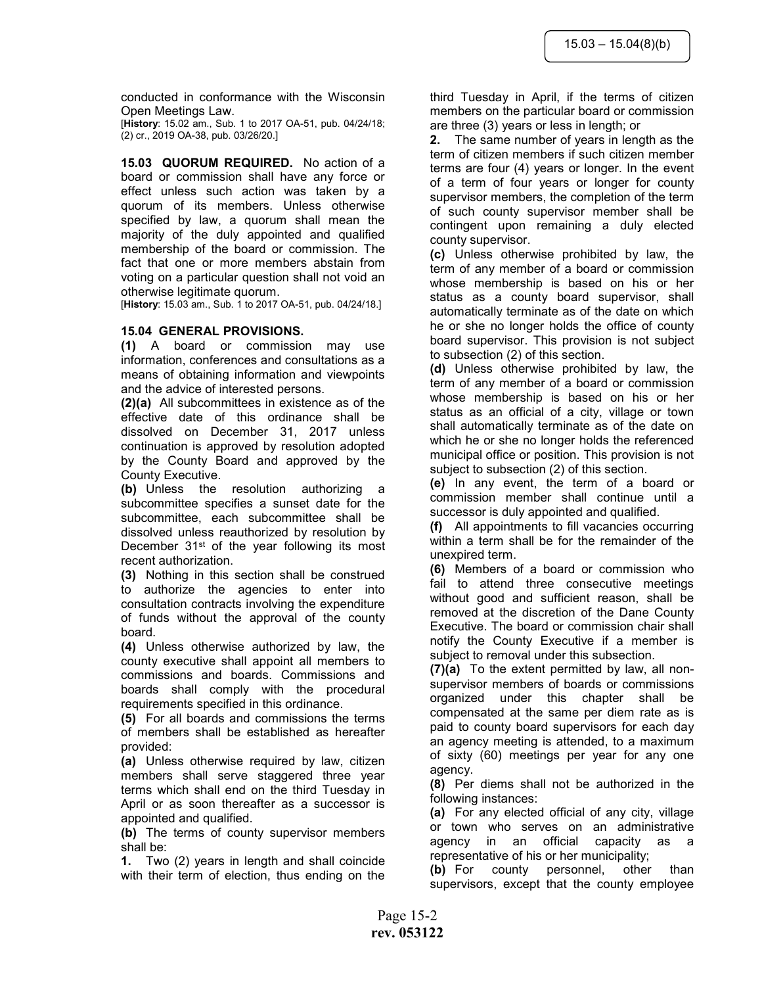conducted in conformance with the Wisconsin Open Meetings Law.

[History: 15.02 am., Sub. 1 to 2017 OA-51, pub. 04/24/18; (2) cr., 2019 OA-38, pub. 03/26/20.]

15.03 QUORUM REQUIRED. No action of a board or commission shall have any force or effect unless such action was taken by a quorum of its members. Unless otherwise specified by law, a quorum shall mean the majority of the duly appointed and qualified membership of the board or commission. The fact that one or more members abstain from voting on a particular question shall not void an otherwise legitimate quorum.

[History: 15.03 am., Sub. 1 to 2017 OA-51, pub. 04/24/18.]

#### 15.04 GENERAL PROVISIONS.

(1) A board or commission may use information, conferences and consultations as a means of obtaining information and viewpoints and the advice of interested persons.

(2)(a) All subcommittees in existence as of the effective date of this ordinance shall be dissolved on December 31, 2017 unless continuation is approved by resolution adopted by the County Board and approved by the County Executive.

(b) Unless the resolution authorizing a subcommittee specifies a sunset date for the subcommittee, each subcommittee shall be dissolved unless reauthorized by resolution by December 31<sup>st</sup> of the year following its most recent authorization.

(3) Nothing in this section shall be construed to authorize the agencies to enter into consultation contracts involving the expenditure of funds without the approval of the county board.

(4) Unless otherwise authorized by law, the county executive shall appoint all members to commissions and boards. Commissions and boards shall comply with the procedural requirements specified in this ordinance.

(5) For all boards and commissions the terms of members shall be established as hereafter provided:

(a) Unless otherwise required by law, citizen members shall serve staggered three year terms which shall end on the third Tuesday in April or as soon thereafter as a successor is appointed and qualified.

(b) The terms of county supervisor members shall be:

1. Two (2) years in length and shall coincide with their term of election, thus ending on the third Tuesday in April, if the terms of citizen members on the particular board or commission are three (3) years or less in length; or

2. The same number of years in length as the term of citizen members if such citizen member terms are four (4) years or longer. In the event of a term of four years or longer for county supervisor members, the completion of the term of such county supervisor member shall be contingent upon remaining a duly elected county supervisor.

(c) Unless otherwise prohibited by law, the term of any member of a board or commission whose membership is based on his or her status as a county board supervisor, shall automatically terminate as of the date on which he or she no longer holds the office of county board supervisor. This provision is not subject to subsection (2) of this section.

(d) Unless otherwise prohibited by law, the term of any member of a board or commission whose membership is based on his or her status as an official of a city, village or town shall automatically terminate as of the date on which he or she no longer holds the referenced municipal office or position. This provision is not subject to subsection (2) of this section.

(e) In any event, the term of a board or commission member shall continue until a successor is duly appointed and qualified.

(f) All appointments to fill vacancies occurring within a term shall be for the remainder of the unexpired term.

(6) Members of a board or commission who fail to attend three consecutive meetings without good and sufficient reason, shall be removed at the discretion of the Dane County Executive. The board or commission chair shall notify the County Executive if a member is subject to removal under this subsection.

(7)(a) To the extent permitted by law, all nonsupervisor members of boards or commissions organized under this chapter shall be compensated at the same per diem rate as is paid to county board supervisors for each day an agency meeting is attended, to a maximum of sixty (60) meetings per year for any one agency.

(8) Per diems shall not be authorized in the following instances:

(a) For any elected official of any city, village or town who serves on an administrative agency in an official capacity as a representative of his or her municipality;

(b) For county personnel, other than supervisors, except that the county employee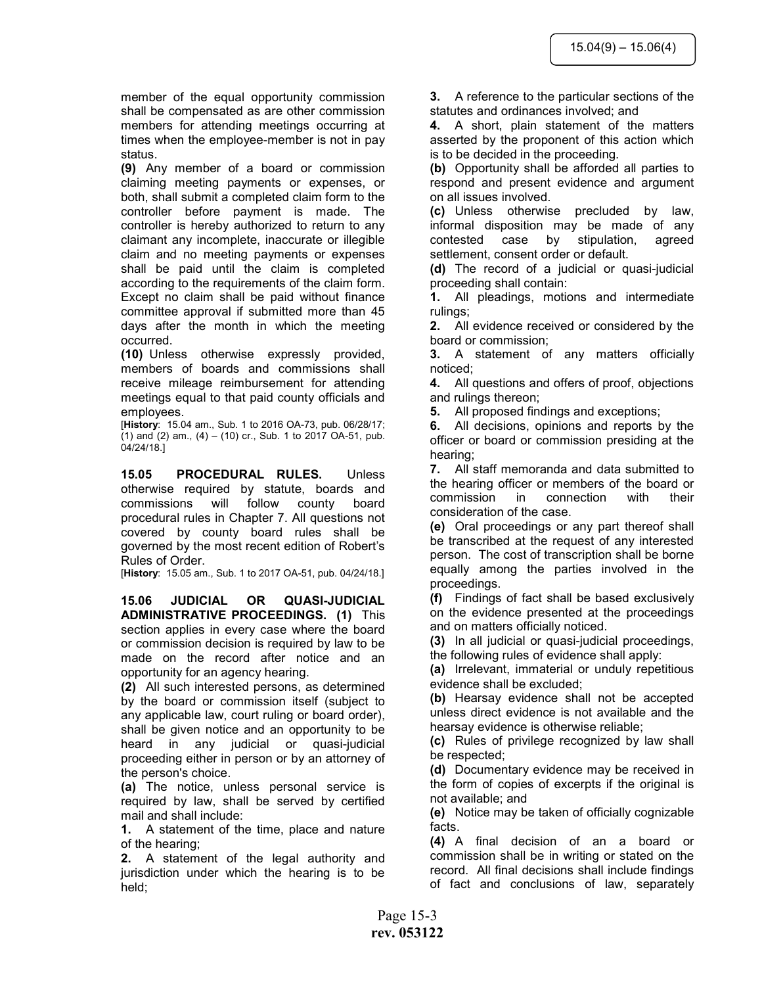member of the equal opportunity commission shall be compensated as are other commission members for attending meetings occurring at times when the employee-member is not in pay status.

(9) Any member of a board or commission claiming meeting payments or expenses, or both, shall submit a completed claim form to the controller before payment is made. The controller is hereby authorized to return to any claimant any incomplete, inaccurate or illegible claim and no meeting payments or expenses shall be paid until the claim is completed according to the requirements of the claim form. Except no claim shall be paid without finance committee approval if submitted more than 45 days after the month in which the meeting occurred.

(10) Unless otherwise expressly provided, members of boards and commissions shall receive mileage reimbursement for attending meetings equal to that paid county officials and employees.

[History: 15.04 am., Sub. 1 to 2016 OA-73, pub. 06/28/17; (1) and (2) am.,  $(4) - (10)$  cr., Sub. 1 to 2017 OA-51, pub. 04/24/18.]

15.05 PROCEDURAL RULES. Unless otherwise required by statute, boards and commissions will follow county board procedural rules in Chapter 7. All questions not covered by county board rules shall be governed by the most recent edition of Robert's Rules of Order.

[History: 15.05 am., Sub. 1 to 2017 OA-51, pub. 04/24/18.]

15.06 JUDICIAL OR QUASI-JUDICIAL ADMINISTRATIVE PROCEEDINGS. (1) This section applies in every case where the board or commission decision is required by law to be made on the record after notice and an opportunity for an agency hearing.

(2) All such interested persons, as determined by the board or commission itself (subject to any applicable law, court ruling or board order), shall be given notice and an opportunity to be heard in any judicial or quasi-judicial proceeding either in person or by an attorney of the person's choice.

(a) The notice, unless personal service is required by law, shall be served by certified mail and shall include:

1. A statement of the time, place and nature of the hearing;

2. A statement of the legal authority and jurisdiction under which the hearing is to be held;

3. A reference to the particular sections of the statutes and ordinances involved; and

4. A short, plain statement of the matters asserted by the proponent of this action which is to be decided in the proceeding.

(b) Opportunity shall be afforded all parties to respond and present evidence and argument on all issues involved.

(c) Unless otherwise precluded by law, informal disposition may be made of any contested case by stipulation, agreed settlement, consent order or default.

(d) The record of a judicial or quasi-judicial proceeding shall contain:

1. All pleadings, motions and intermediate rulings;

2. All evidence received or considered by the board or commission;

3. A statement of any matters officially noticed;

4. All questions and offers of proof, objections and rulings thereon;

5. All proposed findings and exceptions;

6. All decisions, opinions and reports by the officer or board or commission presiding at the hearing;

7. All staff memoranda and data submitted to the hearing officer or members of the board or commission in connection with their consideration of the case.

(e) Oral proceedings or any part thereof shall be transcribed at the request of any interested person. The cost of transcription shall be borne equally among the parties involved in the proceedings.

(f) Findings of fact shall be based exclusively on the evidence presented at the proceedings and on matters officially noticed.

(3) In all judicial or quasi-judicial proceedings, the following rules of evidence shall apply:

(a) Irrelevant, immaterial or unduly repetitious evidence shall be excluded;

(b) Hearsay evidence shall not be accepted unless direct evidence is not available and the hearsay evidence is otherwise reliable;

(c) Rules of privilege recognized by law shall be respected;

(d) Documentary evidence may be received in the form of copies of excerpts if the original is not available; and

(e) Notice may be taken of officially cognizable facts.

(4) A final decision of an a board or commission shall be in writing or stated on the record. All final decisions shall include findings of fact and conclusions of law, separately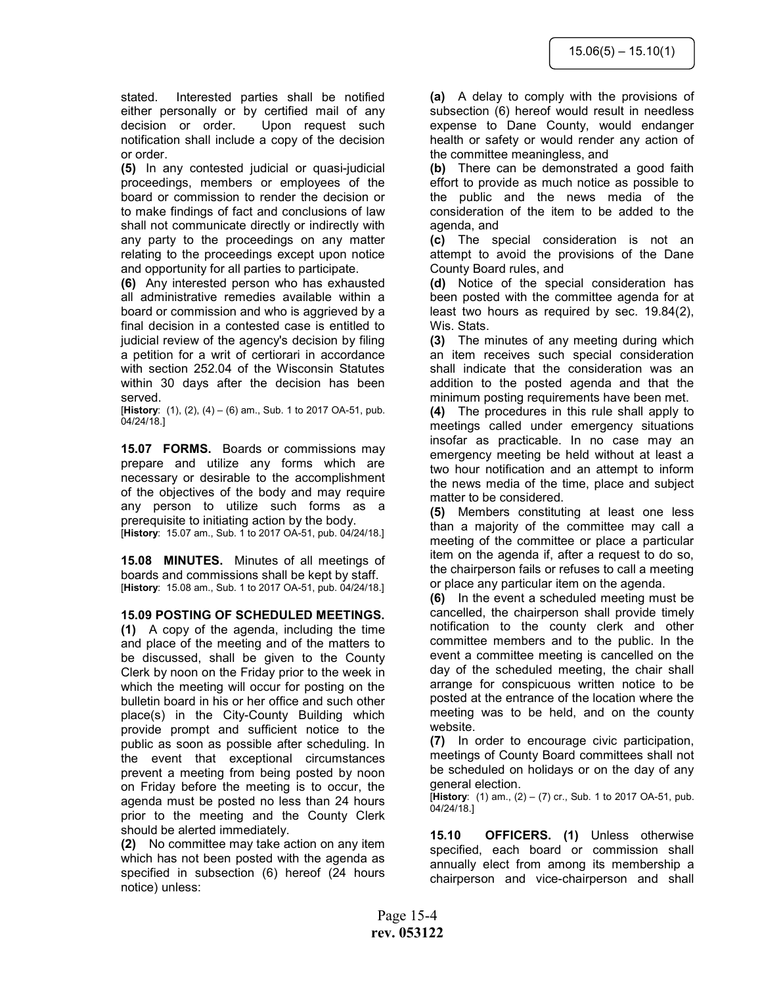stated. Interested parties shall be notified either personally or by certified mail of any decision or order. Upon request such notification shall include a copy of the decision or order.

(5) In any contested judicial or quasi-judicial proceedings, members or employees of the board or commission to render the decision or to make findings of fact and conclusions of law shall not communicate directly or indirectly with any party to the proceedings on any matter relating to the proceedings except upon notice and opportunity for all parties to participate.

(6) Any interested person who has exhausted all administrative remedies available within a board or commission and who is aggrieved by a final decision in a contested case is entitled to judicial review of the agency's decision by filing a petition for a writ of certiorari in accordance with section 252.04 of the Wisconsin Statutes within 30 days after the decision has been served.

[History:  $(1)$ ,  $(2)$ ,  $(4) - (6)$  am., Sub. 1 to 2017 OA-51, pub. 04/24/18.]

15.07 FORMS. Boards or commissions may prepare and utilize any forms which are necessary or desirable to the accomplishment of the objectives of the body and may require any person to utilize such forms as a prerequisite to initiating action by the body. [History: 15.07 am., Sub. 1 to 2017 OA-51, pub. 04/24/18.]

15.08 MINUTES. Minutes of all meetings of boards and commissions shall be kept by staff. [History: 15.08 am., Sub. 1 to 2017 OA-51, pub. 04/24/18.]

#### 15.09 POSTING OF SCHEDULED MEETINGS.

(1) A copy of the agenda, including the time and place of the meeting and of the matters to be discussed, shall be given to the County Clerk by noon on the Friday prior to the week in which the meeting will occur for posting on the bulletin board in his or her office and such other place(s) in the City-County Building which provide prompt and sufficient notice to the public as soon as possible after scheduling. In the event that exceptional circumstances prevent a meeting from being posted by noon on Friday before the meeting is to occur, the agenda must be posted no less than 24 hours prior to the meeting and the County Clerk should be alerted immediately.

(2) No committee may take action on any item which has not been posted with the agenda as specified in subsection (6) hereof (24 hours notice) unless:

(a) A delay to comply with the provisions of subsection (6) hereof would result in needless expense to Dane County, would endanger health or safety or would render any action of the committee meaningless, and

(b) There can be demonstrated a good faith effort to provide as much notice as possible to the public and the news media of the consideration of the item to be added to the agenda, and

(c) The special consideration is not an attempt to avoid the provisions of the Dane County Board rules, and

(d) Notice of the special consideration has been posted with the committee agenda for at least two hours as required by sec. 19.84(2), Wis. Stats.

(3) The minutes of any meeting during which an item receives such special consideration shall indicate that the consideration was an addition to the posted agenda and that the minimum posting requirements have been met.

(4) The procedures in this rule shall apply to meetings called under emergency situations insofar as practicable. In no case may an emergency meeting be held without at least a two hour notification and an attempt to inform the news media of the time, place and subject matter to be considered.

(5) Members constituting at least one less than a majority of the committee may call a meeting of the committee or place a particular item on the agenda if, after a request to do so, the chairperson fails or refuses to call a meeting or place any particular item on the agenda.

(6) In the event a scheduled meeting must be cancelled, the chairperson shall provide timely notification to the county clerk and other committee members and to the public. In the event a committee meeting is cancelled on the day of the scheduled meeting, the chair shall arrange for conspicuous written notice to be posted at the entrance of the location where the meeting was to be held, and on the county website.

(7) In order to encourage civic participation, meetings of County Board committees shall not be scheduled on holidays or on the day of any general election.

**[History:** (1) am., (2) – (7) cr., Sub. 1 to 2017 OA-51, pub. 04/24/18.]

15.10 OFFICERS. (1) Unless otherwise specified, each board or commission shall annually elect from among its membership a chairperson and vice-chairperson and shall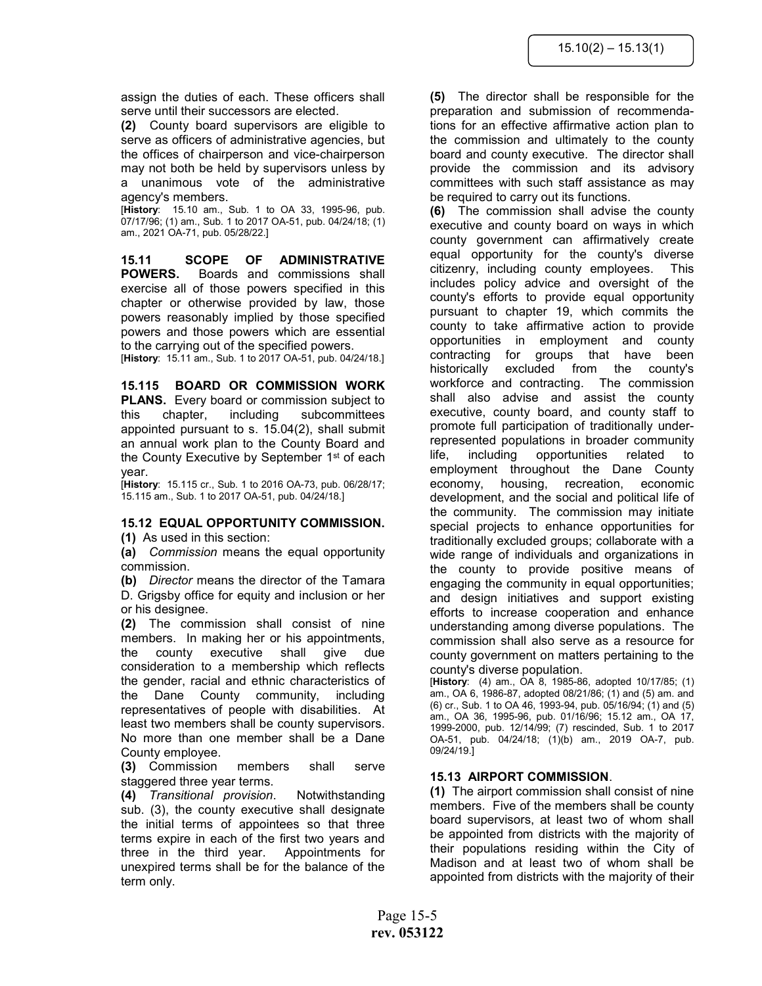assign the duties of each. These officers shall serve until their successors are elected.

(2) County board supervisors are eligible to serve as officers of administrative agencies, but the offices of chairperson and vice-chairperson may not both be held by supervisors unless by a unanimous vote of the administrative agency's members.

[History: 15.10 am., Sub. 1 to OA 33, 1995-96, pub. 07/17/96; (1) am., Sub. 1 to 2017 OA-51, pub. 04/24/18; (1) am., 2021 OA-71, pub. 05/28/22.]

15.11 SCOPE OF ADMINISTRATIVE POWERS. Boards and commissions shall exercise all of those powers specified in this chapter or otherwise provided by law, those powers reasonably implied by those specified powers and those powers which are essential to the carrying out of the specified powers.

[History: 15.11 am., Sub. 1 to 2017 OA-51, pub. 04/24/18.]

15.115 BOARD OR COMMISSION WORK PLANS. Every board or commission subject to this chapter, including subcommittees appointed pursuant to s. 15.04(2), shall submit an annual work plan to the County Board and the County Executive by September 1<sup>st</sup> of each year.

[History: 15.115 cr., Sub. 1 to 2016 OA-73, pub. 06/28/17; 15.115 am., Sub. 1 to 2017 OA-51, pub. 04/24/18.]

#### 15.12 EQUAL OPPORTUNITY COMMISSION.

(1) As used in this section:

(a) Commission means the equal opportunity commission.

(b) Director means the director of the Tamara D. Grigsby office for equity and inclusion or her or his designee.

(2) The commission shall consist of nine members. In making her or his appointments, the county executive shall give due consideration to a membership which reflects the gender, racial and ethnic characteristics of the Dane County community, including representatives of people with disabilities. At least two members shall be county supervisors. No more than one member shall be a Dane County employee.

(3) Commission members shall serve staggered three year terms.

(4) Transitional provision. Notwithstanding sub. (3), the county executive shall designate the initial terms of appointees so that three terms expire in each of the first two years and three in the third year. Appointments for unexpired terms shall be for the balance of the term only.

(5) The director shall be responsible for the preparation and submission of recommendations for an effective affirmative action plan to the commission and ultimately to the county board and county executive. The director shall provide the commission and its advisory committees with such staff assistance as may be required to carry out its functions.

(6) The commission shall advise the county executive and county board on ways in which county government can affirmatively create equal opportunity for the county's diverse citizenry, including county employees. This includes policy advice and oversight of the county's efforts to provide equal opportunity pursuant to chapter 19, which commits the county to take affirmative action to provide opportunities in employment and county contracting for groups that have been historically excluded from the county's workforce and contracting. The commission shall also advise and assist the county executive, county board, and county staff to promote full participation of traditionally underrepresented populations in broader community life, including opportunities related to employment throughout the Dane County economy, housing, recreation, economic development, and the social and political life of the community. The commission may initiate special projects to enhance opportunities for traditionally excluded groups; collaborate with a wide range of individuals and organizations in the county to provide positive means of engaging the community in equal opportunities; and design initiatives and support existing efforts to increase cooperation and enhance understanding among diverse populations. The commission shall also serve as a resource for county government on matters pertaining to the county's diverse population.

 $[History: (4) am., OA 8, 1985-86, adopted 10/17/85; (1)$ am., OA 6, 1986-87, adopted 08/21/86; (1) and (5) am. and (6) cr., Sub. 1 to OA 46, 1993-94, pub. 05/16/94; (1) and (5) am., OA 36, 1995-96, pub. 01/16/96; 15.12 am., OA 17, 1999-2000, pub. 12/14/99; (7) rescinded, Sub. 1 to 2017 OA-51, pub. 04/24/18; (1)(b) am., 2019 OA-7, pub. 09/24/19.]

# 15.13 AIRPORT COMMISSION.

(1) The airport commission shall consist of nine members. Five of the members shall be county board supervisors, at least two of whom shall be appointed from districts with the majority of their populations residing within the City of Madison and at least two of whom shall be appointed from districts with the majority of their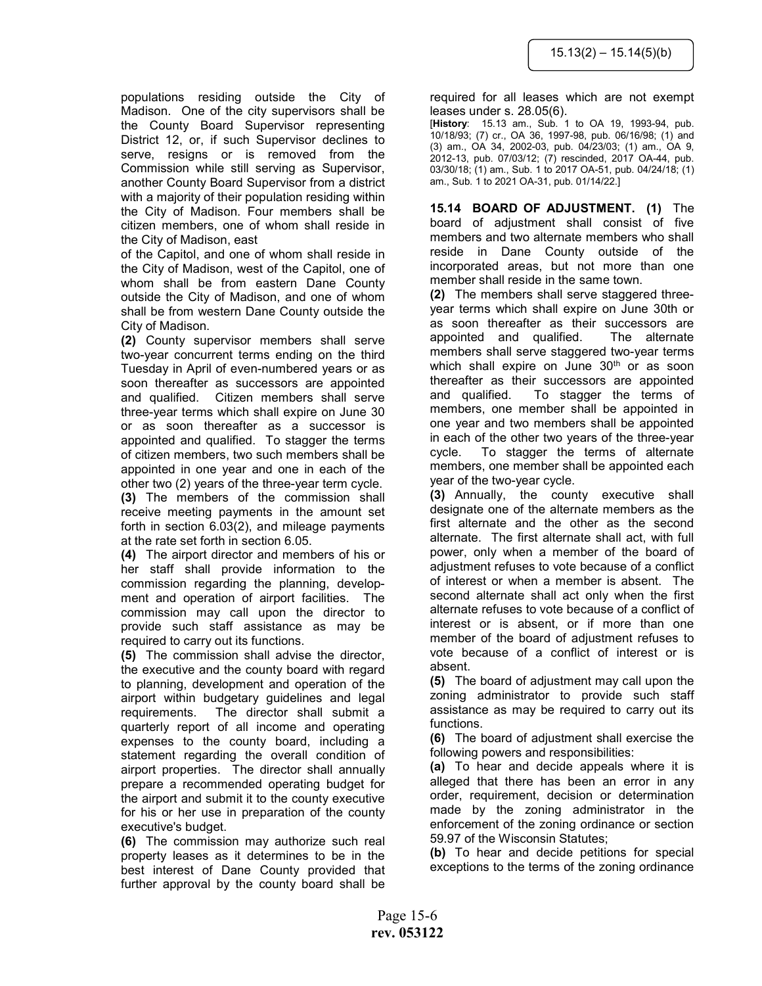populations residing outside the City of Madison. One of the city supervisors shall be the County Board Supervisor representing District 12, or, if such Supervisor declines to serve, resigns or is removed from the Commission while still serving as Supervisor, another County Board Supervisor from a district with a majority of their population residing within the City of Madison. Four members shall be citizen members, one of whom shall reside in the City of Madison, east

of the Capitol, and one of whom shall reside in the City of Madison, west of the Capitol, one of whom shall be from eastern Dane County outside the City of Madison, and one of whom shall be from western Dane County outside the City of Madison.

(2) County supervisor members shall serve two-year concurrent terms ending on the third Tuesday in April of even-numbered years or as soon thereafter as successors are appointed and qualified. Citizen members shall serve three-year terms which shall expire on June 30 or as soon thereafter as a successor is appointed and qualified. To stagger the terms of citizen members, two such members shall be appointed in one year and one in each of the other two (2) years of the three-year term cycle. (3) The members of the commission shall receive meeting payments in the amount set forth in section 6.03(2), and mileage payments at the rate set forth in section 6.05.

(4) The airport director and members of his or her staff shall provide information to the commission regarding the planning, development and operation of airport facilities. The commission may call upon the director to provide such staff assistance as may be required to carry out its functions.

(5) The commission shall advise the director, the executive and the county board with regard to planning, development and operation of the airport within budgetary guidelines and legal requirements. The director shall submit a quarterly report of all income and operating expenses to the county board, including a statement regarding the overall condition of airport properties. The director shall annually prepare a recommended operating budget for the airport and submit it to the county executive for his or her use in preparation of the county executive's budget.

(6) The commission may authorize such real property leases as it determines to be in the best interest of Dane County provided that further approval by the county board shall be

required for all leases which are not exempt leases under s. 28.05(6).

[History: 15.13 am., Sub. 1 to OA 19, 1993-94, pub. 10/18/93; (7) cr., OA 36, 1997-98, pub. 06/16/98; (1) and (3) am., OA 34, 2002-03, pub. 04/23/03; (1) am., OA 9, 2012-13, pub. 07/03/12; (7) rescinded, 2017 OA-44, pub. 03/30/18; (1) am., Sub. 1 to 2017 OA-51, pub. 04/24/18; (1) am., Sub. 1 to 2021 OA-31, pub. 01/14/22.]

15.14 BOARD OF ADJUSTMENT. (1) The board of adjustment shall consist of five members and two alternate members who shall reside in Dane County outside of the incorporated areas, but not more than one member shall reside in the same town.

(2) The members shall serve staggered threeyear terms which shall expire on June 30th or as soon thereafter as their successors are appointed and qualified. The alternate members shall serve staggered two-year terms which shall expire on June 30<sup>th</sup> or as soon thereafter as their successors are appointed and qualified. To stagger the terms of members, one member shall be appointed in one year and two members shall be appointed in each of the other two years of the three-year cycle. To stagger the terms of alternate members, one member shall be appointed each year of the two-year cycle.

(3) Annually, the county executive shall designate one of the alternate members as the first alternate and the other as the second alternate. The first alternate shall act, with full power, only when a member of the board of adjustment refuses to vote because of a conflict of interest or when a member is absent. The second alternate shall act only when the first alternate refuses to vote because of a conflict of interest or is absent, or if more than one member of the board of adjustment refuses to vote because of a conflict of interest or is absent.

(5) The board of adjustment may call upon the zoning administrator to provide such staff assistance as may be required to carry out its functions.

(6) The board of adjustment shall exercise the following powers and responsibilities:

(a) To hear and decide appeals where it is alleged that there has been an error in any order, requirement, decision or determination made by the zoning administrator in the enforcement of the zoning ordinance or section 59.97 of the Wisconsin Statutes;

(b) To hear and decide petitions for special exceptions to the terms of the zoning ordinance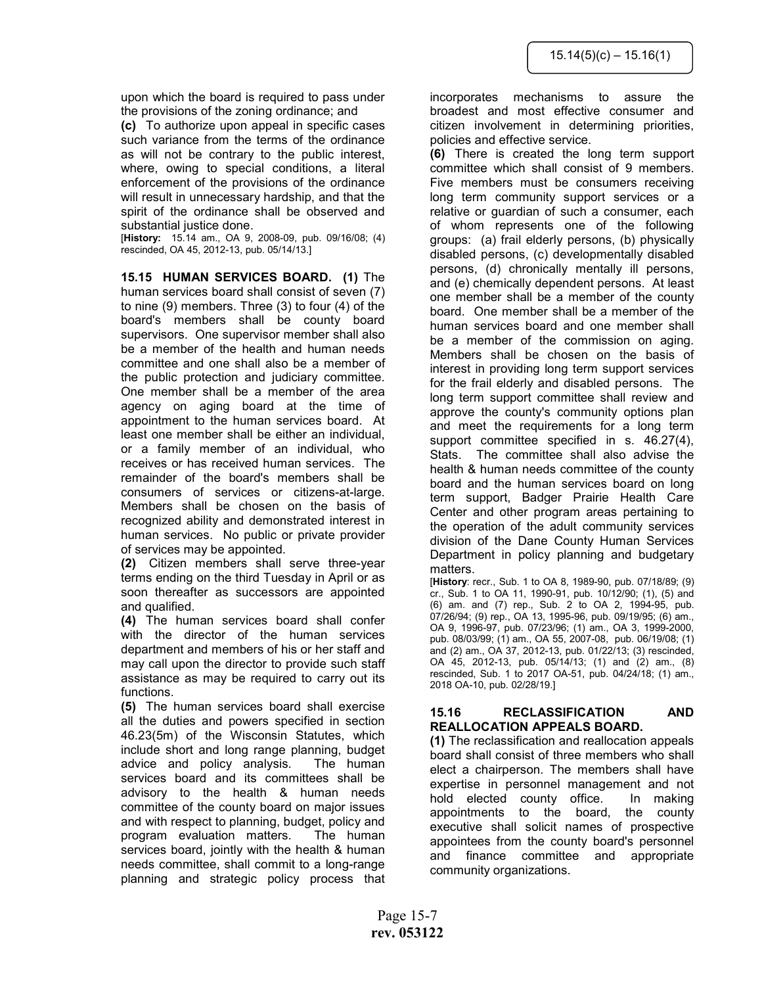upon which the board is required to pass under the provisions of the zoning ordinance; and

(c) To authorize upon appeal in specific cases such variance from the terms of the ordinance as will not be contrary to the public interest, where, owing to special conditions, a literal enforcement of the provisions of the ordinance will result in unnecessary hardship, and that the spirit of the ordinance shall be observed and substantial justice done.

[History: 15.14 am., OA 9, 2008-09, pub. 09/16/08; (4) rescinded, OA 45, 2012-13, pub. 05/14/13.]

15.15 HUMAN SERVICES BOARD. (1) The human services board shall consist of seven (7) to nine (9) members. Three (3) to four (4) of the board's members shall be county board supervisors. One supervisor member shall also be a member of the health and human needs committee and one shall also be a member of the public protection and judiciary committee. One member shall be a member of the area agency on aging board at the time of appointment to the human services board. At least one member shall be either an individual, or a family member of an individual, who receives or has received human services. The remainder of the board's members shall be consumers of services or citizens-at-large. Members shall be chosen on the basis of recognized ability and demonstrated interest in human services. No public or private provider of services may be appointed.

(2) Citizen members shall serve three-year terms ending on the third Tuesday in April or as soon thereafter as successors are appointed and qualified.

(4) The human services board shall confer with the director of the human services department and members of his or her staff and may call upon the director to provide such staff assistance as may be required to carry out its functions.

(5) The human services board shall exercise all the duties and powers specified in section 46.23(5m) of the Wisconsin Statutes, which include short and long range planning, budget advice and policy analysis. The human services board and its committees shall be advisory to the health & human needs committee of the county board on major issues and with respect to planning, budget, policy and program evaluation matters. The human services board, jointly with the health & human needs committee, shall commit to a long-range planning and strategic policy process that incorporates mechanisms to assure the broadest and most effective consumer and citizen involvement in determining priorities, policies and effective service.

(6) There is created the long term support committee which shall consist of 9 members. Five members must be consumers receiving long term community support services or a relative or guardian of such a consumer, each of whom represents one of the following groups: (a) frail elderly persons, (b) physically disabled persons, (c) developmentally disabled persons, (d) chronically mentally ill persons, and (e) chemically dependent persons. At least one member shall be a member of the county board. One member shall be a member of the human services board and one member shall be a member of the commission on aging. Members shall be chosen on the basis of interest in providing long term support services for the frail elderly and disabled persons. The long term support committee shall review and approve the county's community options plan and meet the requirements for a long term support committee specified in s. 46.27(4), Stats. The committee shall also advise the health & human needs committee of the county board and the human services board on long term support, Badger Prairie Health Care Center and other program areas pertaining to the operation of the adult community services division of the Dane County Human Services Department in policy planning and budgetary matters.

[History: recr., Sub. 1 to OA 8, 1989-90, pub. 07/18/89; (9) cr., Sub. 1 to OA 11, 1990-91, pub. 10/12/90; (1), (5) and (6) am. and (7) rep., Sub. 2 to OA 2, 1994-95, pub. 07/26/94; (9) rep., OA 13, 1995-96, pub. 09/19/95; (6) am., OA 9, 1996-97, pub. 07/23/96; (1) am., OA 3, 1999-2000, pub. 08/03/99; (1) am., OA 55, 2007-08, pub. 06/19/08; (1) and (2) am., OA 37, 2012-13, pub. 01/22/13; (3) rescinded, OA 45, 2012-13, pub. 05/14/13; (1) and (2) am., (8) rescinded, Sub. 1 to 2017 OA-51, pub. 04/24/18; (1) am., 2018 OA-10, pub. 02/28/19.]

## 15.16 RECLASSIFICATION AND REALLOCATION APPEALS BOARD.

(1) The reclassification and reallocation appeals board shall consist of three members who shall elect a chairperson. The members shall have expertise in personnel management and not hold elected county office. In making appointments to the board, the county executive shall solicit names of prospective appointees from the county board's personnel and finance committee and appropriate community organizations.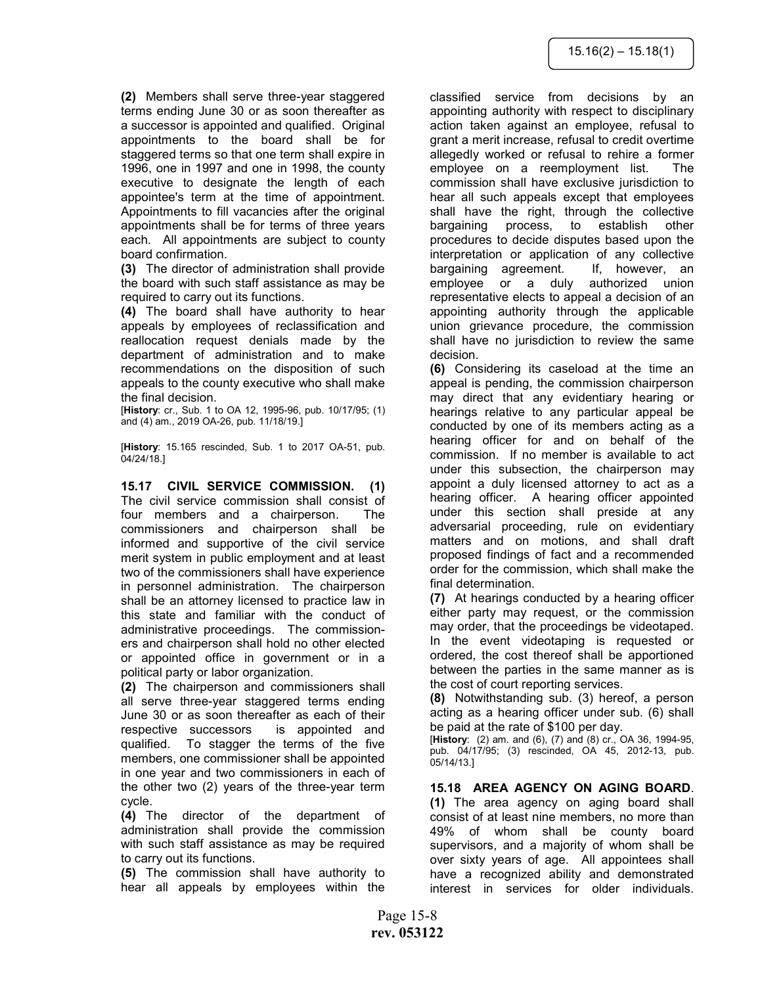(2) Members shall serve three-year staggered terms ending June 30 or as soon thereafter as a successor is appointed and qualified. Original appointments to the board shall be for staggered terms so that one term shall expire in 1996, one in 1997 and one in 1998, the county executive to designate the length of each appointee's term at the time of appointment. Appointments to fill vacancies after the original appointments shall be for terms of three years each. All appointments are subject to county board confirmation.

(3) The director of administration shall provide the board with such staff assistance as may be required to carry out its functions.

(4) The board shall have authority to hear appeals by employees of reclassification and reallocation request denials made by the department of administration and to make recommendations on the disposition of such appeals to the county executive who shall make the final decision.

[History: cr., Sub. 1 to OA 12, 1995-96, pub. 10/17/95; (1) and (4) am., 2019 OA-26, pub. 11/18/19.]

[History: 15.165 rescinded, Sub. 1 to 2017 OA-51, pub. 04/24/18.]

15.17 CIVIL SERVICE COMMISSION. (1) The civil service commission shall consist of four members and a chairperson. The commissioners and chairperson shall be informed and supportive of the civil service merit system in public employment and at least two of the commissioners shall have experience in personnel administration. The chairperson shall be an attorney licensed to practice law in this state and familiar with the conduct of administrative proceedings. The commissioners and chairperson shall hold no other elected or appointed office in government or in a political party or labor organization.

(2) The chairperson and commissioners shall all serve three-year staggered terms ending June 30 or as soon thereafter as each of their respective successors is appointed and qualified. To stagger the terms of the five members, one commissioner shall be appointed in one year and two commissioners in each of the other two (2) years of the three-year term cycle.

(4) The director of the department of administration shall provide the commission with such staff assistance as may be required to carry out its functions.

(5) The commission shall have authority to hear all appeals by employees within the

classified service from decisions by an appointing authority with respect to disciplinary action taken against an employee, refusal to grant a merit increase, refusal to credit overtime allegedly worked or refusal to rehire a former employee on a reemployment list. The commission shall have exclusive jurisdiction to hear all such appeals except that employees shall have the right, through the collective bargaining process, to establish other procedures to decide disputes based upon the interpretation or application of any collective bargaining agreement. If, however, an employee or a duly authorized union representative elects to appeal a decision of an appointing authority through the applicable union grievance procedure, the commission shall have no jurisdiction to review the same decision.

(6) Considering its caseload at the time an appeal is pending, the commission chairperson may direct that any evidentiary hearing or hearings relative to any particular appeal be conducted by one of its members acting as a hearing officer for and on behalf of the commission. If no member is available to act under this subsection, the chairperson may appoint a duly licensed attorney to act as a hearing officer. A hearing officer appointed under this section shall preside at any adversarial proceeding, rule on evidentiary matters and on motions, and shall draft proposed findings of fact and a recommended order for the commission, which shall make the final determination.

(7) At hearings conducted by a hearing officer either party may request, or the commission may order, that the proceedings be videotaped. In the event videotaping is requested or ordered, the cost thereof shall be apportioned between the parties in the same manner as is the cost of court reporting services.

(8) Notwithstanding sub. (3) hereof, a person acting as a hearing officer under sub. (6) shall be paid at the rate of \$100 per day.

[History: (2) am. and (6), (7) and (8) cr., OA 36, 1994-95, pub. 04/17/95; (3) rescinded, OA 45, 2012-13, pub. 05/14/13.]

15.18 AREA AGENCY ON AGING BOARD. (1) The area agency on aging board shall consist of at least nine members, no more than 49% of whom shall be county board supervisors, and a majority of whom shall be over sixty years of age. All appointees shall have a recognized ability and demonstrated interest in services for older individuals.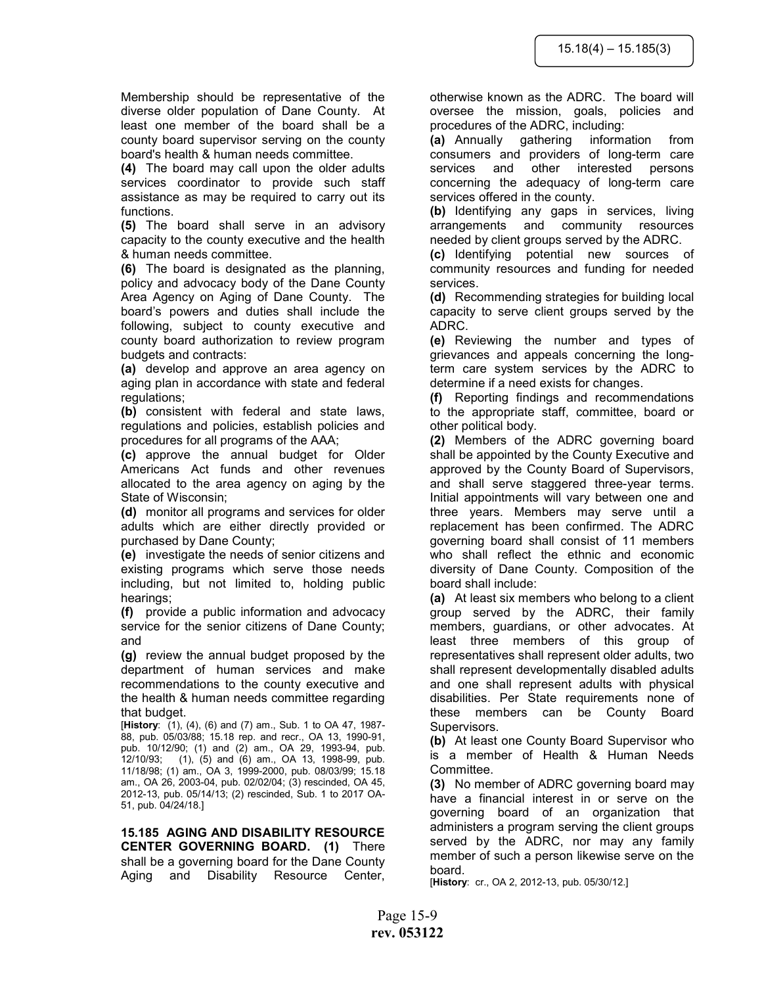Membership should be representative of the diverse older population of Dane County. At least one member of the board shall be a county board supervisor serving on the county board's health & human needs committee.

(4) The board may call upon the older adults services coordinator to provide such staff assistance as may be required to carry out its functions.

(5) The board shall serve in an advisory capacity to the county executive and the health & human needs committee.

(6) The board is designated as the planning, policy and advocacy body of the Dane County Area Agency on Aging of Dane County. The board's powers and duties shall include the following, subject to county executive and county board authorization to review program budgets and contracts:

(a) develop and approve an area agency on aging plan in accordance with state and federal regulations;

(b) consistent with federal and state laws, regulations and policies, establish policies and procedures for all programs of the AAA;

(c) approve the annual budget for Older Americans Act funds and other revenues allocated to the area agency on aging by the State of Wisconsin;

(d) monitor all programs and services for older adults which are either directly provided or purchased by Dane County;

(e) investigate the needs of senior citizens and existing programs which serve those needs including, but not limited to, holding public hearings;

(f) provide a public information and advocacy service for the senior citizens of Dane County; and

(g) review the annual budget proposed by the department of human services and make recommendations to the county executive and the health & human needs committee regarding that budget.

[History:  $(1)$ , (4), (6) and (7) am., Sub. 1 to OA 47, 1987-88, pub. 05/03/88; 15.18 rep. and recr., OA 13, 1990-91, pub. 10/12/90; (1) and (2) am., OA 29, 1993-94, pub. 12/10/93; (1), (5) and (6) am., OA 13, 1998-99, pub. 11/18/98; (1) am., OA 3, 1999-2000, pub. 08/03/99; 15.18 am., OA 26, 2003-04, pub. 02/02/04; (3) rescinded, OA 45, 2012-13, pub. 05/14/13; (2) rescinded, Sub. 1 to 2017 OA-51, pub. 04/24/18.]

15.185 AGING AND DISABILITY RESOURCE CENTER GOVERNING BOARD. (1) There shall be a governing board for the Dane County Aging and Disability Resource Center,

otherwise known as the ADRC. The board will oversee the mission, goals, policies and procedures of the ADRC, including:

(a) Annually gathering information from consumers and providers of long-term care services and other interested persons concerning the adequacy of long-term care services offered in the county.

(b) Identifying any gaps in services, living arrangements and community resources needed by client groups served by the ADRC.

(c) Identifying potential new sources of community resources and funding for needed services.

(d) Recommending strategies for building local capacity to serve client groups served by the ADRC.

(e) Reviewing the number and types of grievances and appeals concerning the longterm care system services by the ADRC to determine if a need exists for changes.

(f) Reporting findings and recommendations to the appropriate staff, committee, board or other political body.

(2) Members of the ADRC governing board shall be appointed by the County Executive and approved by the County Board of Supervisors, and shall serve staggered three-year terms. Initial appointments will vary between one and three years. Members may serve until a replacement has been confirmed. The ADRC governing board shall consist of 11 members who shall reflect the ethnic and economic diversity of Dane County. Composition of the board shall include:

(a) At least six members who belong to a client group served by the ADRC, their family members, guardians, or other advocates. At least three members of this group of representatives shall represent older adults, two shall represent developmentally disabled adults and one shall represent adults with physical disabilities. Per State requirements none of these members can be County Board Supervisors.

(b) At least one County Board Supervisor who is a member of Health & Human Needs Committee.

(3) No member of ADRC governing board may have a financial interest in or serve on the governing board of an organization that administers a program serving the client groups served by the ADRC, nor may any family member of such a person likewise serve on the board.

[History: cr., OA 2, 2012-13, pub. 05/30/12.]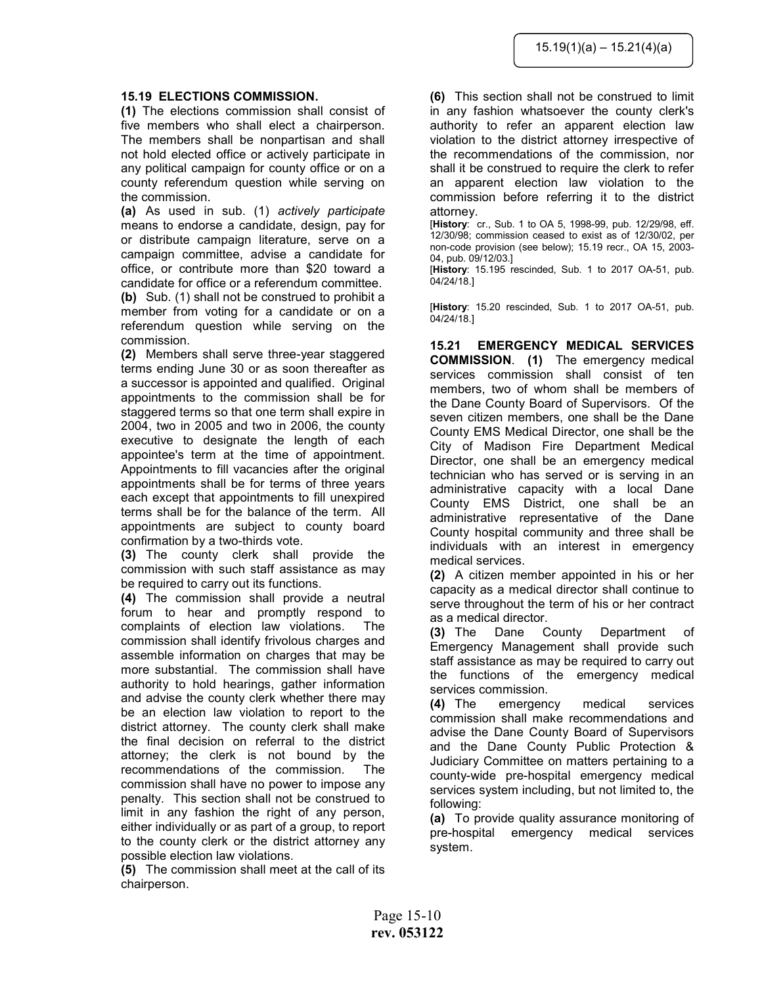#### 15.19 ELECTIONS COMMISSION.

(1) The elections commission shall consist of five members who shall elect a chairperson. The members shall be nonpartisan and shall not hold elected office or actively participate in any political campaign for county office or on a county referendum question while serving on the commission.

(a) As used in sub. (1) actively participate means to endorse a candidate, design, pay for or distribute campaign literature, serve on a campaign committee, advise a candidate for office, or contribute more than \$20 toward a candidate for office or a referendum committee. (b) Sub. (1) shall not be construed to prohibit a member from voting for a candidate or on a referendum question while serving on the commission.

(2) Members shall serve three-year staggered terms ending June 30 or as soon thereafter as a successor is appointed and qualified. Original appointments to the commission shall be for staggered terms so that one term shall expire in 2004, two in 2005 and two in 2006, the county executive to designate the length of each appointee's term at the time of appointment. Appointments to fill vacancies after the original appointments shall be for terms of three years each except that appointments to fill unexpired terms shall be for the balance of the term. All appointments are subject to county board confirmation by a two-thirds vote.

(3) The county clerk shall provide the commission with such staff assistance as may be required to carry out its functions.

(4) The commission shall provide a neutral forum to hear and promptly respond to complaints of election law violations. The commission shall identify frivolous charges and assemble information on charges that may be more substantial. The commission shall have authority to hold hearings, gather information and advise the county clerk whether there may be an election law violation to report to the district attorney. The county clerk shall make the final decision on referral to the district attorney; the clerk is not bound by the recommendations of the commission. The commission shall have no power to impose any penalty. This section shall not be construed to limit in any fashion the right of any person, either individually or as part of a group, to report to the county clerk or the district attorney any possible election law violations.

(5) The commission shall meet at the call of its chairperson.

(6) This section shall not be construed to limit in any fashion whatsoever the county clerk's authority to refer an apparent election law violation to the district attorney irrespective of the recommendations of the commission, nor shall it be construed to require the clerk to refer an apparent election law violation to the commission before referring it to the district attorney.

[History: cr., Sub. 1 to OA 5, 1998-99, pub. 12/29/98, eff. 12/30/98; commission ceased to exist as of 12/30/02, per non-code provision (see below); 15.19 recr., OA 15, 2003- 04, pub. 09/12/03.]

[History: 15.195 rescinded, Sub. 1 to 2017 OA-51, pub. 04/24/18.]

[History: 15.20 rescinded, Sub. 1 to 2017 OA-51, pub. 04/24/18.]

15.21 EMERGENCY MEDICAL SERVICES COMMISSION. (1) The emergency medical services commission shall consist of ten members, two of whom shall be members of the Dane County Board of Supervisors. Of the seven citizen members, one shall be the Dane County EMS Medical Director, one shall be the City of Madison Fire Department Medical Director, one shall be an emergency medical technician who has served or is serving in an administrative capacity with a local Dane County EMS District, one shall be an administrative representative of the Dane County hospital community and three shall be individuals with an interest in emergency medical services.

(2) A citizen member appointed in his or her capacity as a medical director shall continue to serve throughout the term of his or her contract as a medical director.

(3) The Dane County Department of Emergency Management shall provide such staff assistance as may be required to carry out the functions of the emergency medical services commission.

(4) The emergency medical services commission shall make recommendations and advise the Dane County Board of Supervisors and the Dane County Public Protection & Judiciary Committee on matters pertaining to a county-wide pre-hospital emergency medical services system including, but not limited to, the following:

(a) To provide quality assurance monitoring of pre-hospital emergency medical services system.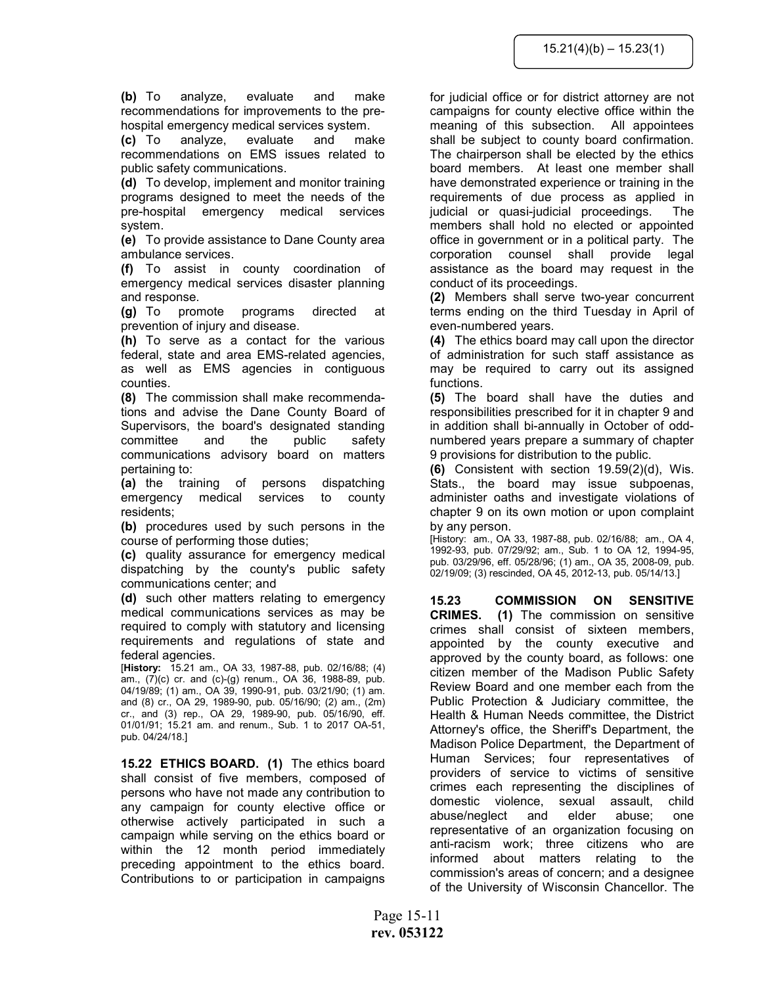(b) To analyze, evaluate and make recommendations for improvements to the prehospital emergency medical services system.

(c) To analyze, evaluate and make recommendations on EMS issues related to public safety communications.

(d) To develop, implement and monitor training programs designed to meet the needs of the pre-hospital emergency medical services system.

(e) To provide assistance to Dane County area ambulance services.

(f) To assist in county coordination of emergency medical services disaster planning and response.

(g) To promote programs directed at prevention of injury and disease.

(h) To serve as a contact for the various federal, state and area EMS-related agencies, as well as EMS agencies in contiguous counties.

(8) The commission shall make recommendations and advise the Dane County Board of Supervisors, the board's designated standing committee and the public safety communications advisory board on matters pertaining to:

(a) the training of persons dispatching emergency medical services to county residents;

(b) procedures used by such persons in the course of performing those duties;

(c) quality assurance for emergency medical dispatching by the county's public safety communications center; and

(d) such other matters relating to emergency medical communications services as may be required to comply with statutory and licensing requirements and regulations of state and federal agencies.

[History: 15.21 am., OA 33, 1987-88, pub. 02/16/88; (4) am., (7)(c) cr. and (c)-(g) renum., OA 36, 1988-89, pub. 04/19/89; (1) am., OA 39, 1990-91, pub. 03/21/90; (1) am. and (8) cr., OA 29, 1989-90, pub. 05/16/90; (2) am., (2m) cr., and (3) rep., OA 29, 1989-90, pub. 05/16/90, eff. 01/01/91; 15.21 am. and renum., Sub. 1 to 2017 OA-51, pub. 04/24/18.]

15.22 ETHICS BOARD. (1) The ethics board shall consist of five members, composed of persons who have not made any contribution to any campaign for county elective office or otherwise actively participated in such a campaign while serving on the ethics board or within the 12 month period immediately preceding appointment to the ethics board. Contributions to or participation in campaigns

for judicial office or for district attorney are not campaigns for county elective office within the meaning of this subsection. All appointees shall be subject to county board confirmation. The chairperson shall be elected by the ethics board members. At least one member shall have demonstrated experience or training in the requirements of due process as applied in judicial or quasi-judicial proceedings. The members shall hold no elected or appointed office in government or in a political party. The corporation counsel shall provide legal assistance as the board may request in the conduct of its proceedings.

(2) Members shall serve two-year concurrent terms ending on the third Tuesday in April of even-numbered years.

(4) The ethics board may call upon the director of administration for such staff assistance as may be required to carry out its assigned functions.

(5) The board shall have the duties and responsibilities prescribed for it in chapter 9 and in addition shall bi-annually in October of oddnumbered years prepare a summary of chapter 9 provisions for distribution to the public.

(6) Consistent with section  $19.59(2)(d)$ , Wis. Stats., the board may issue subpoenas, administer oaths and investigate violations of chapter 9 on its own motion or upon complaint by any person.

[History: am., OA 33, 1987-88, pub. 02/16/88; am., OA 4, 1992-93, pub. 07/29/92; am., Sub. 1 to OA 12, 1994-95, pub. 03/29/96, eff. 05/28/96; (1) am., OA 35, 2008-09, pub. 02/19/09; (3) rescinded, OA 45, 2012-13, pub. 05/14/13.]

15.23 COMMISSION ON SENSITIVE CRIMES. (1) The commission on sensitive crimes shall consist of sixteen members, appointed by the county executive and approved by the county board, as follows: one citizen member of the Madison Public Safety Review Board and one member each from the Public Protection & Judiciary committee, the Health & Human Needs committee, the District Attorney's office, the Sheriff's Department, the Madison Police Department, the Department of Human Services; four representatives of providers of service to victims of sensitive crimes each representing the disciplines of domestic violence, sexual assault, child abuse/neglect and elder abuse; one representative of an organization focusing on anti-racism work; three citizens who are informed about matters relating to the commission's areas of concern; and a designee of the University of Wisconsin Chancellor. The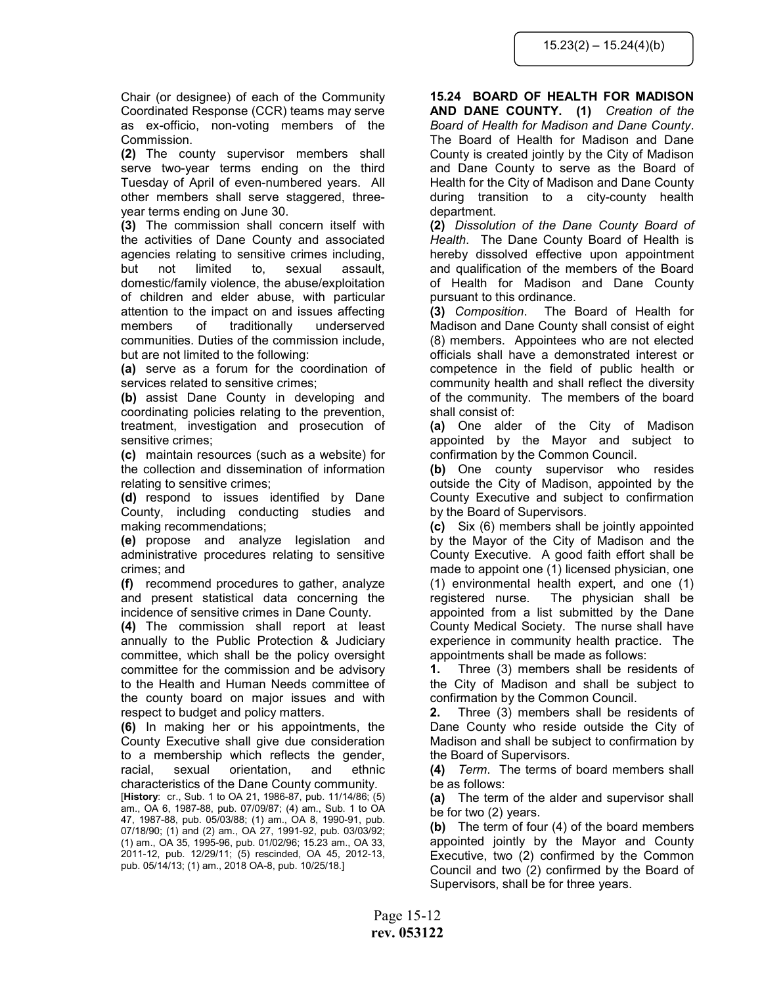Chair (or designee) of each of the Community Coordinated Response (CCR) teams may serve as ex-officio, non-voting members of the Commission.

(2) The county supervisor members shall serve two-year terms ending on the third Tuesday of April of even-numbered years. All other members shall serve staggered, threeyear terms ending on June 30.

(3) The commission shall concern itself with the activities of Dane County and associated agencies relating to sensitive crimes including, but not limited to, sexual assault, domestic/family violence, the abuse/exploitation of children and elder abuse, with particular attention to the impact on and issues affecting members of traditionally underserved communities. Duties of the commission include, but are not limited to the following:

(a) serve as a forum for the coordination of services related to sensitive crimes;

(b) assist Dane County in developing and coordinating policies relating to the prevention, treatment, investigation and prosecution of sensitive crimes;

(c) maintain resources (such as a website) for the collection and dissemination of information relating to sensitive crimes;

(d) respond to issues identified by Dane County, including conducting studies and making recommendations;

(e) propose and analyze legislation and administrative procedures relating to sensitive crimes; and

(f) recommend procedures to gather, analyze and present statistical data concerning the incidence of sensitive crimes in Dane County.

(4) The commission shall report at least annually to the Public Protection & Judiciary committee, which shall be the policy oversight committee for the commission and be advisory to the Health and Human Needs committee of the county board on major issues and with respect to budget and policy matters.

(6) In making her or his appointments, the County Executive shall give due consideration to a membership which reflects the gender, racial, sexual orientation, and ethnic characteristics of the Dane County community.

[History: cr., Sub. 1 to OA 21, 1986-87, pub. 11/14/86; (5) am., OA 6, 1987-88, pub. 07/09/87; (4) am., Sub. 1 to OA 47, 1987-88, pub. 05/03/88; (1) am., OA 8, 1990-91, pub. 07/18/90; (1) and (2) am., OA 27, 1991-92, pub. 03/03/92; (1) am., OA 35, 1995-96, pub. 01/02/96; 15.23 am., OA 33, 2011-12, pub. 12/29/11; (5) rescinded, OA 45, 2012-13, pub. 05/14/13; (1) am., 2018 OA-8, pub. 10/25/18.]

# 15.24 BOARD OF HEALTH FOR MADISON AND DANE COUNTY. (1) Creation of the

Board of Health for Madison and Dane County. The Board of Health for Madison and Dane County is created jointly by the City of Madison and Dane County to serve as the Board of Health for the City of Madison and Dane County during transition to a city-county health department.

(2) Dissolution of the Dane County Board of Health. The Dane County Board of Health is hereby dissolved effective upon appointment and qualification of the members of the Board of Health for Madison and Dane County pursuant to this ordinance.

(3) Composition. The Board of Health for Madison and Dane County shall consist of eight (8) members. Appointees who are not elected officials shall have a demonstrated interest or competence in the field of public health or community health and shall reflect the diversity of the community. The members of the board shall consist of:

(a) One alder of the City of Madison appointed by the Mayor and subject to confirmation by the Common Council.

(b) One county supervisor who resides outside the City of Madison, appointed by the County Executive and subject to confirmation by the Board of Supervisors.

(c) Six (6) members shall be jointly appointed by the Mayor of the City of Madison and the County Executive. A good faith effort shall be made to appoint one (1) licensed physician, one (1) environmental health expert, and one (1) registered nurse. The physician shall be appointed from a list submitted by the Dane County Medical Society. The nurse shall have experience in community health practice. The appointments shall be made as follows:

1. Three (3) members shall be residents of the City of Madison and shall be subject to confirmation by the Common Council.

2. Three (3) members shall be residents of Dane County who reside outside the City of Madison and shall be subject to confirmation by the Board of Supervisors.

(4) Term. The terms of board members shall be as follows:

(a) The term of the alder and supervisor shall be for two (2) years.

(b) The term of four (4) of the board members appointed jointly by the Mayor and County Executive, two (2) confirmed by the Common Council and two (2) confirmed by the Board of Supervisors, shall be for three years.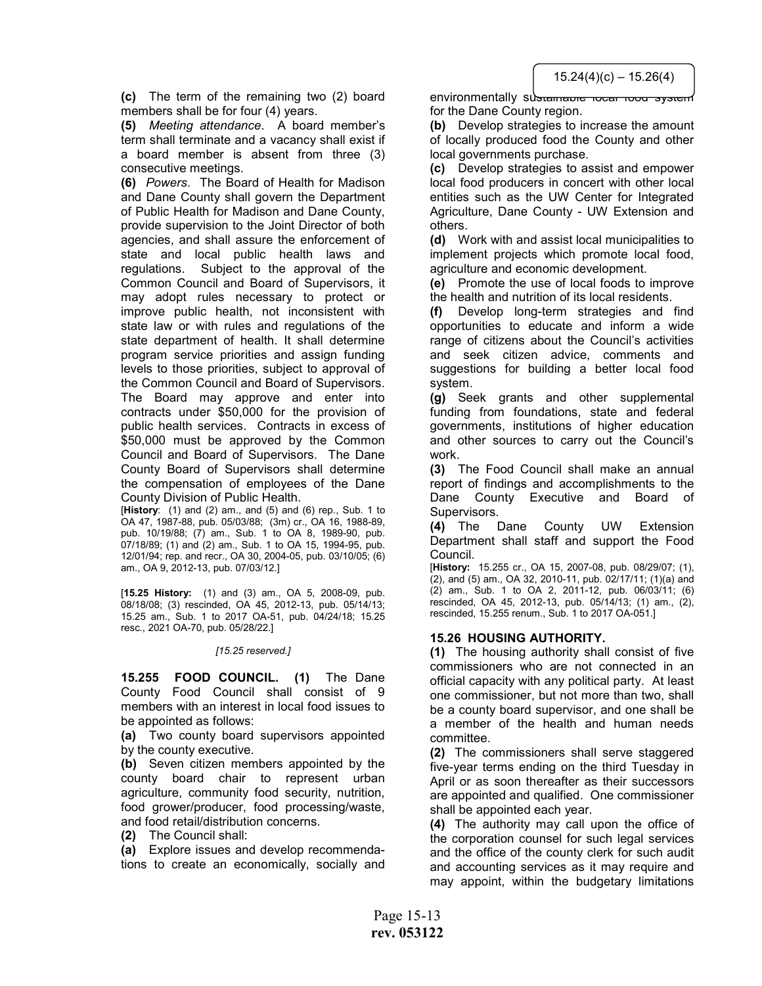$15.24(4)(c) - 15.26(4)$ 

(c) The term of the remaining two (2) board members shall be for four (4) years.

(5) Meeting attendance. A board member's term shall terminate and a vacancy shall exist if a board member is absent from three (3) consecutive meetings.

(6) Powers. The Board of Health for Madison and Dane County shall govern the Department of Public Health for Madison and Dane County, provide supervision to the Joint Director of both agencies, and shall assure the enforcement of state and local public health laws and regulations. Subject to the approval of the Common Council and Board of Supervisors, it may adopt rules necessary to protect or improve public health, not inconsistent with state law or with rules and regulations of the state department of health. It shall determine program service priorities and assign funding levels to those priorities, subject to approval of the Common Council and Board of Supervisors. The Board may approve and enter into contracts under \$50,000 for the provision of public health services. Contracts in excess of \$50,000 must be approved by the Common Council and Board of Supervisors. The Dane County Board of Supervisors shall determine the compensation of employees of the Dane County Division of Public Health.

[History:  $(1)$  and  $(2)$  am., and  $(5)$  and  $(6)$  rep., Sub. 1 to OA 47, 1987-88, pub. 05/03/88; (3m) cr., OA 16, 1988-89, pub. 10/19/88; (7) am., Sub. 1 to OA 8, 1989-90, pub. 07/18/89; (1) and (2) am., Sub. 1 to OA 15, 1994-95, pub. 12/01/94; rep. and recr., OA 30, 2004-05, pub. 03/10/05; (6) am., OA 9, 2012-13, pub. 07/03/12.]

[15.25 History: (1) and (3) am., OA 5, 2008-09, pub. 08/18/08; (3) rescinded, OA 45, 2012-13, pub. 05/14/13; 15.25 am., Sub. 1 to 2017 OA-51, pub. 04/24/18; 15.25 resc., 2021 OA-70, pub. 05/28/22.]

#### [15.25 reserved.]

15.255 FOOD COUNCIL. (1) The Dane County Food Council shall consist of 9 members with an interest in local food issues to be appointed as follows:

(a) Two county board supervisors appointed by the county executive.

(b) Seven citizen members appointed by the county board chair to represent urban agriculture, community food security, nutrition, food grower/producer, food processing/waste, and food retail/distribution concerns.

(2) The Council shall:

(a) Explore issues and develop recommendations to create an economically, socially and

environmentally sustamable local food system for the Dane County region.

(b) Develop strategies to increase the amount of locally produced food the County and other local governments purchase.

(c) Develop strategies to assist and empower local food producers in concert with other local entities such as the UW Center for Integrated Agriculture, Dane County - UW Extension and others.

(d) Work with and assist local municipalities to implement projects which promote local food, agriculture and economic development.

(e) Promote the use of local foods to improve the health and nutrition of its local residents.

(f) Develop long-term strategies and find opportunities to educate and inform a wide range of citizens about the Council's activities and seek citizen advice, comments and suggestions for building a better local food system.

(g) Seek grants and other supplemental funding from foundations, state and federal governments, institutions of higher education and other sources to carry out the Council's work.

(3) The Food Council shall make an annual report of findings and accomplishments to the Dane County Executive and Board of Supervisors.

(4) The Dane County UW Extension Department shall staff and support the Food Council.

[History: 15.255 cr., OA 15, 2007-08, pub. 08/29/07; (1), (2), and (5) am., OA 32, 2010-11, pub. 02/17/11; (1)(a) and (2) am., Sub. 1 to OA 2, 2011-12, pub. 06/03/11; (6) rescinded, OA 45, 2012-13, pub. 05/14/13; (1) am., (2), rescinded, 15.255 renum., Sub. 1 to 2017 OA-051.]

#### 15.26 HOUSING AUTHORITY.

(1) The housing authority shall consist of five commissioners who are not connected in an official capacity with any political party. At least one commissioner, but not more than two, shall be a county board supervisor, and one shall be a member of the health and human needs committee.

(2) The commissioners shall serve staggered five-year terms ending on the third Tuesday in April or as soon thereafter as their successors are appointed and qualified. One commissioner shall be appointed each year.

(4) The authority may call upon the office of the corporation counsel for such legal services and the office of the county clerk for such audit and accounting services as it may require and may appoint, within the budgetary limitations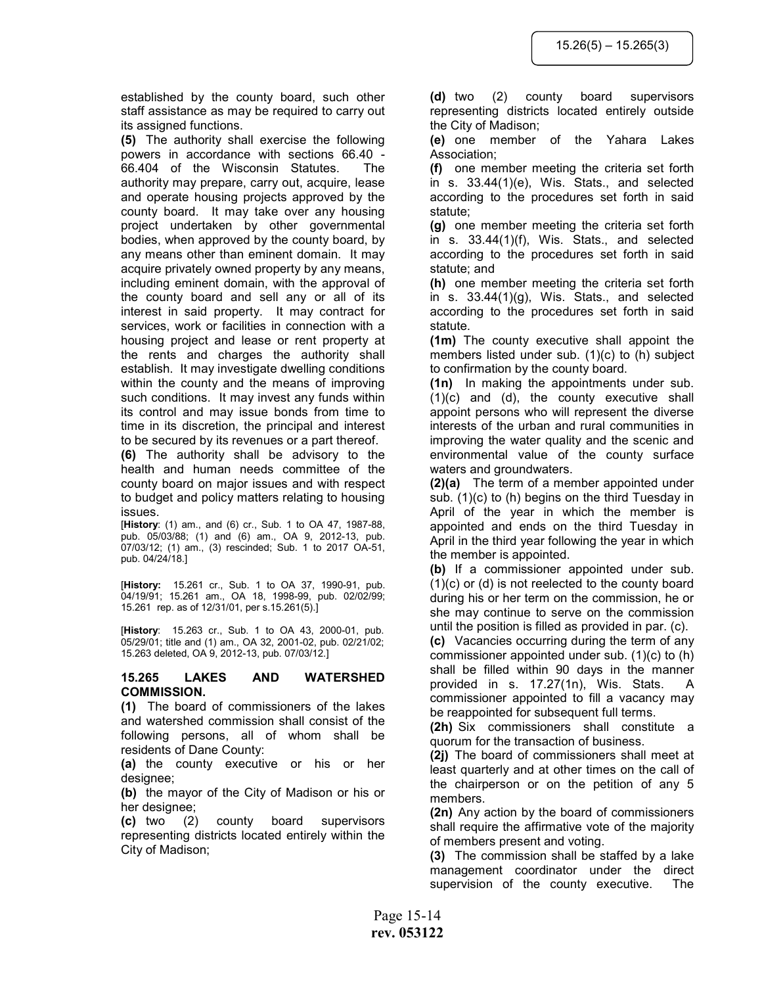established by the county board, such other staff assistance as may be required to carry out its assigned functions.

(5) The authority shall exercise the following powers in accordance with sections 66.40 - 66.404 of the Wisconsin Statutes. The authority may prepare, carry out, acquire, lease and operate housing projects approved by the county board. It may take over any housing project undertaken by other governmental bodies, when approved by the county board, by any means other than eminent domain. It may acquire privately owned property by any means, including eminent domain, with the approval of the county board and sell any or all of its interest in said property. It may contract for services, work or facilities in connection with a housing project and lease or rent property at the rents and charges the authority shall establish. It may investigate dwelling conditions within the county and the means of improving such conditions. It may invest any funds within its control and may issue bonds from time to time in its discretion, the principal and interest to be secured by its revenues or a part thereof.

(6) The authority shall be advisory to the health and human needs committee of the county board on major issues and with respect to budget and policy matters relating to housing issues.

[History: (1) am., and (6) cr., Sub. 1 to OA 47, 1987-88, pub. 05/03/88; (1) and (6) am., OA 9, 2012-13, pub. 07/03/12; (1) am., (3) rescinded; Sub. 1 to 2017 OA-51, pub. 04/24/18.]

[History: 15.261 cr., Sub. 1 to OA 37, 1990-91, pub. 04/19/91; 15.261 am., OA 18, 1998-99, pub. 02/02/99; 15.261 rep. as of 12/31/01, per s.15.261(5).]

[History: 15.263 cr., Sub. 1 to OA 43, 2000-01, pub. 05/29/01; title and (1) am., OA 32, 2001-02, pub. 02/21/02; 15.263 deleted, OA 9, 2012-13, pub. 07/03/12.]

## 15.265 LAKES AND WATERSHED COMMISSION.

(1) The board of commissioners of the lakes and watershed commission shall consist of the following persons, all of whom shall be residents of Dane County:

(a) the county executive or his or her designee;

(b) the mayor of the City of Madison or his or her designee;

(c) two (2) county board supervisors representing districts located entirely within the City of Madison;

(d) two (2) county board supervisors representing districts located entirely outside the City of Madison;

(e) one member of the Yahara Lakes Association;

(f) one member meeting the criteria set forth in s. 33.44(1)(e), Wis. Stats., and selected according to the procedures set forth in said statute;

(g) one member meeting the criteria set forth in s. 33.44(1)(f), Wis. Stats., and selected according to the procedures set forth in said statute; and

(h) one member meeting the criteria set forth in s. 33.44(1)(g), Wis. Stats., and selected according to the procedures set forth in said statute.

(1m) The county executive shall appoint the members listed under sub. (1)(c) to (h) subject to confirmation by the county board.

(1n) In making the appointments under sub. (1)(c) and (d), the county executive shall appoint persons who will represent the diverse interests of the urban and rural communities in improving the water quality and the scenic and environmental value of the county surface waters and groundwaters.

(2)(a) The term of a member appointed under sub. (1)(c) to (h) begins on the third Tuesday in April of the year in which the member is appointed and ends on the third Tuesday in April in the third year following the year in which the member is appointed.

(b) If a commissioner appointed under sub. (1)(c) or (d) is not reelected to the county board during his or her term on the commission, he or she may continue to serve on the commission until the position is filled as provided in par. (c).

(c) Vacancies occurring during the term of any commissioner appointed under sub. (1)(c) to (h) shall be filled within 90 days in the manner provided in s. 17.27(1n), Wis. Stats. A commissioner appointed to fill a vacancy may be reappointed for subsequent full terms.

(2h) Six commissioners shall constitute a quorum for the transaction of business.

(2j) The board of commissioners shall meet at least quarterly and at other times on the call of the chairperson or on the petition of any 5 members.

(2n) Any action by the board of commissioners shall require the affirmative vote of the majority of members present and voting.

(3) The commission shall be staffed by a lake management coordinator under the direct supervision of the county executive. The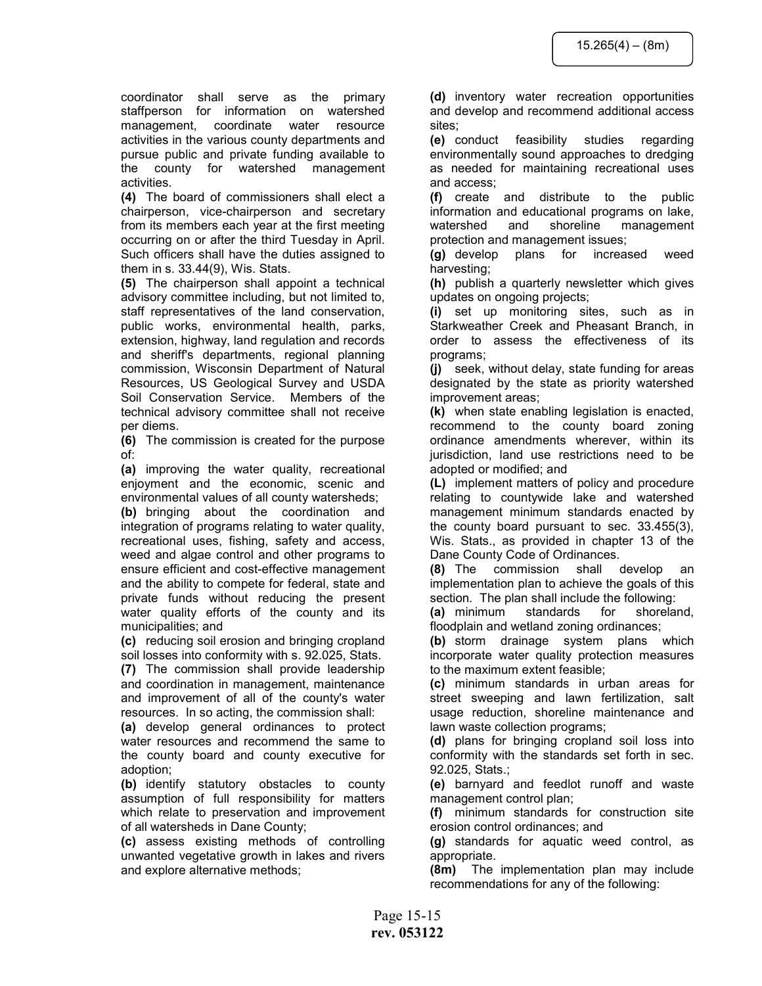coordinator shall serve as the primary staffperson for information on watershed management, coordinate water resource activities in the various county departments and pursue public and private funding available to the county for watershed management activities.

(4) The board of commissioners shall elect a chairperson, vice-chairperson and secretary from its members each year at the first meeting occurring on or after the third Tuesday in April. Such officers shall have the duties assigned to them in s. 33.44(9), Wis. Stats.

(5) The chairperson shall appoint a technical advisory committee including, but not limited to, staff representatives of the land conservation, public works, environmental health, parks, extension, highway, land regulation and records and sheriff's departments, regional planning commission, Wisconsin Department of Natural Resources, US Geological Survey and USDA Soil Conservation Service. Members of the technical advisory committee shall not receive per diems.

(6) The commission is created for the purpose of:

(a) improving the water quality, recreational enjoyment and the economic, scenic and environmental values of all county watersheds;

(b) bringing about the coordination and integration of programs relating to water quality, recreational uses, fishing, safety and access, weed and algae control and other programs to ensure efficient and cost-effective management and the ability to compete for federal, state and private funds without reducing the present water quality efforts of the county and its municipalities; and

(c) reducing soil erosion and bringing cropland soil losses into conformity with s. 92.025, Stats.

(7) The commission shall provide leadership and coordination in management, maintenance and improvement of all of the county's water resources. In so acting, the commission shall:

(a) develop general ordinances to protect water resources and recommend the same to the county board and county executive for adoption;

(b) identify statutory obstacles to county assumption of full responsibility for matters which relate to preservation and improvement of all watersheds in Dane County;

(c) assess existing methods of controlling unwanted vegetative growth in lakes and rivers and explore alternative methods;

(d) inventory water recreation opportunities and develop and recommend additional access sites;

(e) conduct feasibility studies regarding environmentally sound approaches to dredging as needed for maintaining recreational uses and access;

(f) create and distribute to the public information and educational programs on lake, watershed and shoreline management protection and management issues;

(g) develop plans for increased weed harvesting;

(h) publish a quarterly newsletter which gives updates on ongoing projects;

(i) set up monitoring sites, such as in Starkweather Creek and Pheasant Branch, in order to assess the effectiveness of its programs;

(j) seek, without delay, state funding for areas designated by the state as priority watershed improvement areas;

(k) when state enabling legislation is enacted, recommend to the county board zoning ordinance amendments wherever, within its jurisdiction, land use restrictions need to be adopted or modified; and

(L) implement matters of policy and procedure relating to countywide lake and watershed management minimum standards enacted by the county board pursuant to sec. 33.455(3), Wis. Stats., as provided in chapter 13 of the Dane County Code of Ordinances.

(8) The commission shall develop an implementation plan to achieve the goals of this section. The plan shall include the following:

(a) minimum standards for shoreland, floodplain and wetland zoning ordinances;

(b) storm drainage system plans which incorporate water quality protection measures to the maximum extent feasible;

(c) minimum standards in urban areas for street sweeping and lawn fertilization, salt usage reduction, shoreline maintenance and lawn waste collection programs;

(d) plans for bringing cropland soil loss into conformity with the standards set forth in sec. 92.025, Stats.;

(e) barnyard and feedlot runoff and waste management control plan;

(f) minimum standards for construction site erosion control ordinances; and

(g) standards for aquatic weed control, as appropriate.

(8m) The implementation plan may include recommendations for any of the following: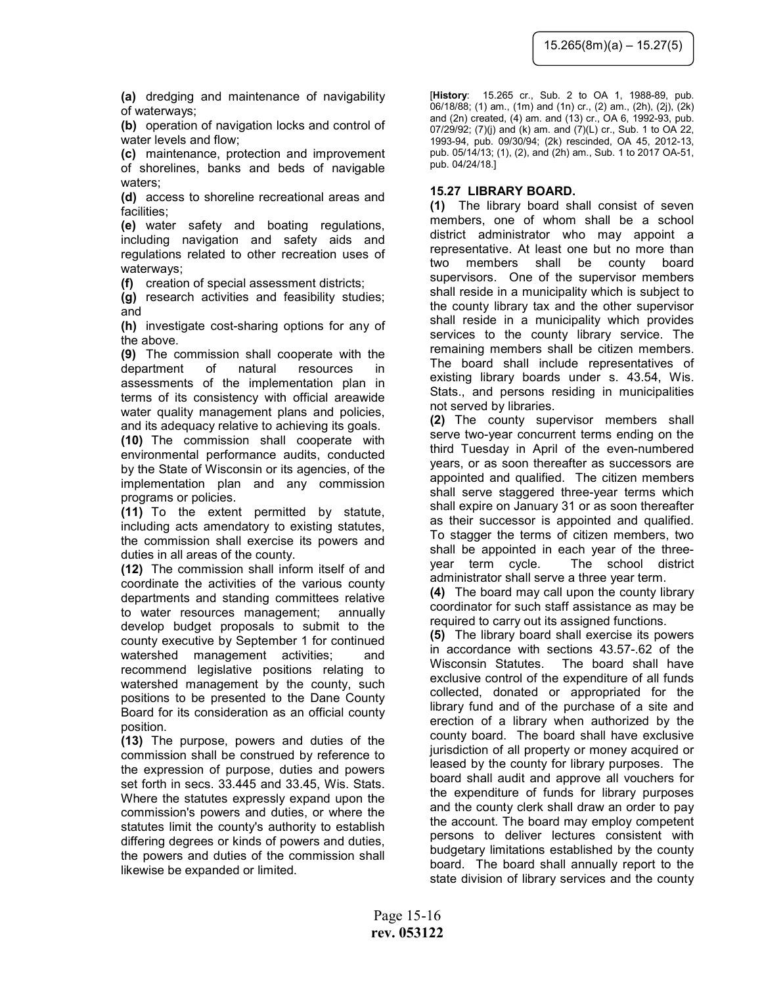(a) dredging and maintenance of navigability of waterways;

(b) operation of navigation locks and control of water levels and flow;

(c) maintenance, protection and improvement of shorelines, banks and beds of navigable waters:

(d) access to shoreline recreational areas and facilities;

(e) water safety and boating regulations, including navigation and safety aids and regulations related to other recreation uses of waterways;

(f) creation of special assessment districts;

(g) research activities and feasibility studies; and

(h) investigate cost-sharing options for any of the above.

(9) The commission shall cooperate with the department of natural resources in assessments of the implementation plan in terms of its consistency with official areawide water quality management plans and policies, and its adequacy relative to achieving its goals.

(10) The commission shall cooperate with environmental performance audits, conducted by the State of Wisconsin or its agencies, of the implementation plan and any commission programs or policies.

(11) To the extent permitted by statute, including acts amendatory to existing statutes, the commission shall exercise its powers and duties in all areas of the county.

(12) The commission shall inform itself of and coordinate the activities of the various county departments and standing committees relative to water resources management; annually develop budget proposals to submit to the county executive by September 1 for continued watershed management activities; and recommend legislative positions relating to watershed management by the county, such positions to be presented to the Dane County Board for its consideration as an official county position.

(13) The purpose, powers and duties of the commission shall be construed by reference to the expression of purpose, duties and powers set forth in secs. 33.445 and 33.45, Wis. Stats. Where the statutes expressly expand upon the commission's powers and duties, or where the statutes limit the county's authority to establish differing degrees or kinds of powers and duties, the powers and duties of the commission shall likewise be expanded or limited.

[History: 15.265 cr., Sub. 2 to OA 1, 1988-89, pub. 06/18/88; (1) am., (1m) and (1n) cr., (2) am., (2h), (2j), (2k) and (2n) created, (4) am. and (13) cr., OA 6, 1992-93, pub. 07/29/92; (7)(j) and (k) am. and (7)(L) cr., Sub. 1 to OA 22, 1993-94, pub. 09/30/94; (2k) rescinded, OA 45, 2012-13, pub. 05/14/13; (1), (2), and (2h) am., Sub. 1 to 2017 OA-51, pub. 04/24/18.]

### 15.27 LIBRARY BOARD.

(1) The library board shall consist of seven members, one of whom shall be a school district administrator who may appoint a representative. At least one but no more than two members shall be county board supervisors. One of the supervisor members shall reside in a municipality which is subject to the county library tax and the other supervisor shall reside in a municipality which provides services to the county library service. The remaining members shall be citizen members. The board shall include representatives of existing library boards under s. 43.54, Wis. Stats., and persons residing in municipalities not served by libraries.

(2) The county supervisor members shall serve two-year concurrent terms ending on the third Tuesday in April of the even-numbered years, or as soon thereafter as successors are appointed and qualified. The citizen members shall serve staggered three-year terms which shall expire on January 31 or as soon thereafter as their successor is appointed and qualified. To stagger the terms of citizen members, two shall be appointed in each year of the threeyear term cycle. The school district administrator shall serve a three year term.

(4) The board may call upon the county library coordinator for such staff assistance as may be required to carry out its assigned functions.

(5) The library board shall exercise its powers in accordance with sections 43.57-.62 of the Wisconsin Statutes. The board shall have exclusive control of the expenditure of all funds collected, donated or appropriated for the library fund and of the purchase of a site and erection of a library when authorized by the county board. The board shall have exclusive jurisdiction of all property or money acquired or leased by the county for library purposes. The board shall audit and approve all vouchers for the expenditure of funds for library purposes and the county clerk shall draw an order to pay the account. The board may employ competent persons to deliver lectures consistent with budgetary limitations established by the county board. The board shall annually report to the state division of library services and the county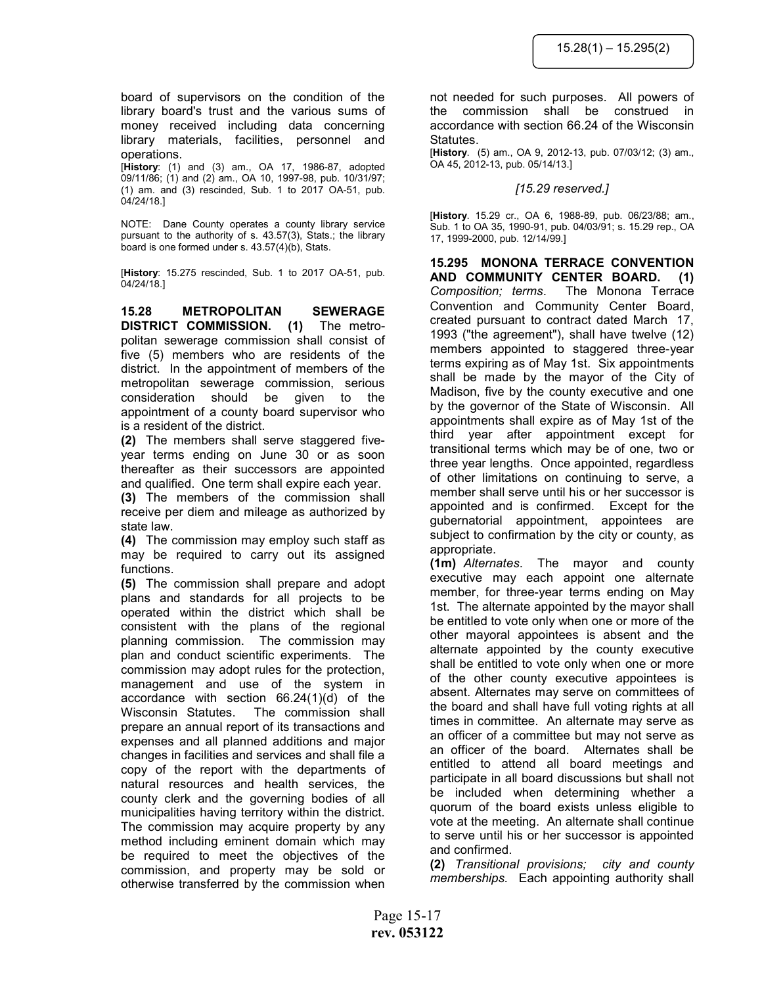board of supervisors on the condition of the library board's trust and the various sums of money received including data concerning library materials, facilities, personnel and operations.

[History: (1) and (3) am., OA 17, 1986-87, adopted 09/11/86; (1) and (2) am., OA 10, 1997-98, pub. 10/31/97; (1) am. and (3) rescinded, Sub. 1 to 2017 OA-51, pub. 04/24/18.]

NOTE: Dane County operates a county library service pursuant to the authority of s. 43.57(3), Stats.; the library board is one formed under s. 43.57(4)(b), Stats.

[History: 15.275 rescinded, Sub. 1 to 2017 OA-51, pub. 04/24/18.]

15.28 METROPOLITAN SEWERAGE DISTRICT COMMISSION. (1) The metropolitan sewerage commission shall consist of five (5) members who are residents of the district. In the appointment of members of the metropolitan sewerage commission, serious consideration should be given to the appointment of a county board supervisor who is a resident of the district.

(2) The members shall serve staggered fiveyear terms ending on June 30 or as soon thereafter as their successors are appointed and qualified. One term shall expire each year.

(3) The members of the commission shall receive per diem and mileage as authorized by state law.

(4) The commission may employ such staff as may be required to carry out its assigned functions.

(5) The commission shall prepare and adopt plans and standards for all projects to be operated within the district which shall be consistent with the plans of the regional planning commission. The commission may plan and conduct scientific experiments. The commission may adopt rules for the protection, management and use of the system in accordance with section 66.24(1)(d) of the Wisconsin Statutes. The commission shall prepare an annual report of its transactions and expenses and all planned additions and major changes in facilities and services and shall file a copy of the report with the departments of natural resources and health services, the county clerk and the governing bodies of all municipalities having territory within the district. The commission may acquire property by any method including eminent domain which may be required to meet the objectives of the commission, and property may be sold or otherwise transferred by the commission when

not needed for such purposes. All powers of the commission shall be construed in accordance with section 66.24 of the Wisconsin **Statutes** 

[History. (5) am., OA 9, 2012-13, pub. 07/03/12; (3) am., OA 45, 2012-13, pub. 05/14/13.]

#### [15.29 reserved.]

[History. 15.29 cr., OA 6, 1988-89, pub. 06/23/88; am., Sub. 1 to OA 35, 1990-91, pub. 04/03/91; s. 15.29 rep., OA 17, 1999-2000, pub. 12/14/99.]

15.295 MONONA TERRACE CONVENTION AND COMMUNITY CENTER BOARD. (1) Composition; terms. The Monona Terrace Convention and Community Center Board, created pursuant to contract dated March 17, 1993 ("the agreement"), shall have twelve (12) members appointed to staggered three-year terms expiring as of May 1st. Six appointments shall be made by the mayor of the City of Madison, five by the county executive and one by the governor of the State of Wisconsin. All appointments shall expire as of May 1st of the third year after appointment except for transitional terms which may be of one, two or three year lengths. Once appointed, regardless of other limitations on continuing to serve, a member shall serve until his or her successor is appointed and is confirmed. Except for the gubernatorial appointment, appointees are subject to confirmation by the city or county, as appropriate.

(1m) Alternates. The mayor and county executive may each appoint one alternate member, for three-year terms ending on May 1st. The alternate appointed by the mayor shall be entitled to vote only when one or more of the other mayoral appointees is absent and the alternate appointed by the county executive shall be entitled to vote only when one or more of the other county executive appointees is absent. Alternates may serve on committees of the board and shall have full voting rights at all times in committee. An alternate may serve as an officer of a committee but may not serve as an officer of the board. Alternates shall be entitled to attend all board meetings and participate in all board discussions but shall not be included when determining whether a quorum of the board exists unless eligible to vote at the meeting. An alternate shall continue to serve until his or her successor is appointed and confirmed.

(2) Transitional provisions; city and county memberships. Each appointing authority shall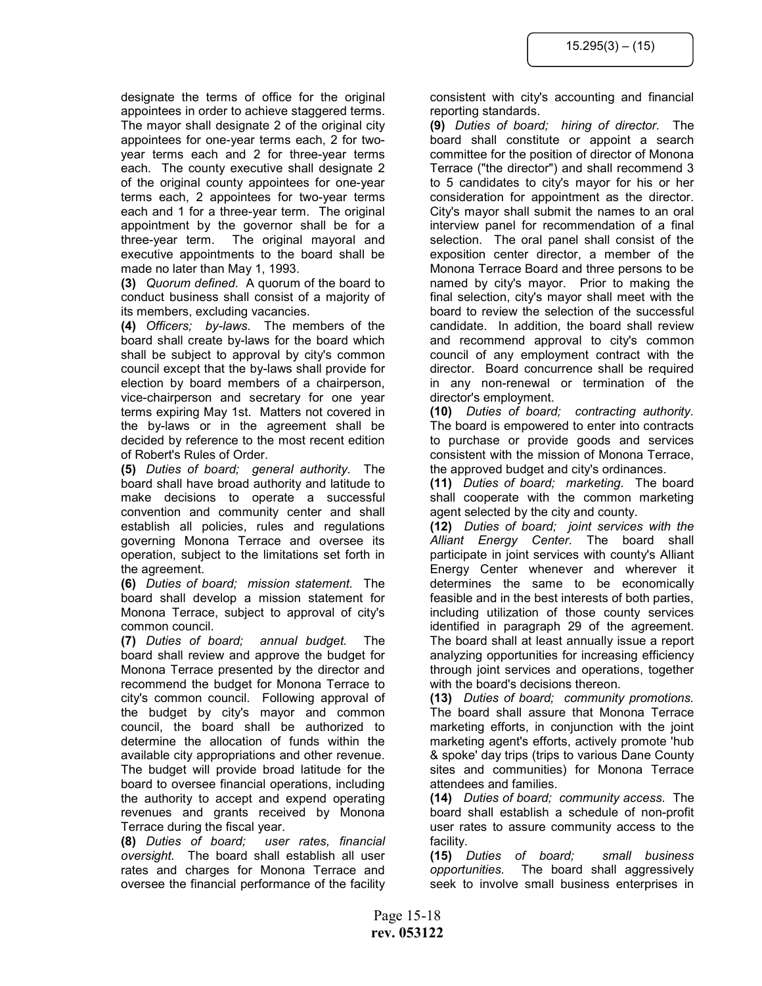designate the terms of office for the original appointees in order to achieve staggered terms. The mayor shall designate 2 of the original city appointees for one-year terms each, 2 for twoyear terms each and 2 for three-year terms each. The county executive shall designate 2 of the original county appointees for one-year terms each, 2 appointees for two-year terms each and 1 for a three-year term. The original appointment by the governor shall be for a three-year term. The original mayoral and executive appointments to the board shall be made no later than May 1, 1993.

(3) Quorum defined. A quorum of the board to conduct business shall consist of a majority of its members, excluding vacancies.

(4) Officers; by-laws. The members of the board shall create by-laws for the board which shall be subject to approval by city's common council except that the by-laws shall provide for election by board members of a chairperson, vice-chairperson and secretary for one year terms expiring May 1st. Matters not covered in the by-laws or in the agreement shall be decided by reference to the most recent edition of Robert's Rules of Order.

(5) Duties of board; general authority. The board shall have broad authority and latitude to make decisions to operate a successful convention and community center and shall establish all policies, rules and regulations governing Monona Terrace and oversee its operation, subject to the limitations set forth in the agreement.

(6) Duties of board; mission statement. The board shall develop a mission statement for Monona Terrace, subject to approval of city's common council.

(7) Duties of board; annual budget. The board shall review and approve the budget for Monona Terrace presented by the director and recommend the budget for Monona Terrace to city's common council. Following approval of the budget by city's mayor and common council, the board shall be authorized to determine the allocation of funds within the available city appropriations and other revenue. The budget will provide broad latitude for the board to oversee financial operations, including the authority to accept and expend operating revenues and grants received by Monona Terrace during the fiscal year.

(8) Duties of board; user rates, financial oversight. The board shall establish all user rates and charges for Monona Terrace and oversee the financial performance of the facility consistent with city's accounting and financial reporting standards.

(9) Duties of board; hiring of director. The board shall constitute or appoint a search committee for the position of director of Monona Terrace ("the director") and shall recommend 3 to 5 candidates to city's mayor for his or her consideration for appointment as the director. City's mayor shall submit the names to an oral interview panel for recommendation of a final selection. The oral panel shall consist of the exposition center director, a member of the Monona Terrace Board and three persons to be named by city's mayor. Prior to making the final selection, city's mayor shall meet with the board to review the selection of the successful candidate. In addition, the board shall review and recommend approval to city's common council of any employment contract with the director. Board concurrence shall be required in any non-renewal or termination of the director's employment.

(10) Duties of board; contracting authority. The board is empowered to enter into contracts to purchase or provide goods and services consistent with the mission of Monona Terrace, the approved budget and city's ordinances.

(11) Duties of board; marketing. The board shall cooperate with the common marketing agent selected by the city and county.

(12) Duties of board; joint services with the Alliant Energy Center. The board shall participate in joint services with county's Alliant Energy Center whenever and wherever it determines the same to be economically feasible and in the best interests of both parties, including utilization of those county services identified in paragraph 29 of the agreement. The board shall at least annually issue a report analyzing opportunities for increasing efficiency through joint services and operations, together with the board's decisions thereon.

(13) Duties of board; community promotions. The board shall assure that Monona Terrace marketing efforts, in conjunction with the joint marketing agent's efforts, actively promote 'hub & spoke' day trips (trips to various Dane County sites and communities) for Monona Terrace attendees and families.

(14) Duties of board; community access. The board shall establish a schedule of non-profit user rates to assure community access to the facility.

(15) Duties of board; small business opportunities. The board shall aggressively seek to involve small business enterprises in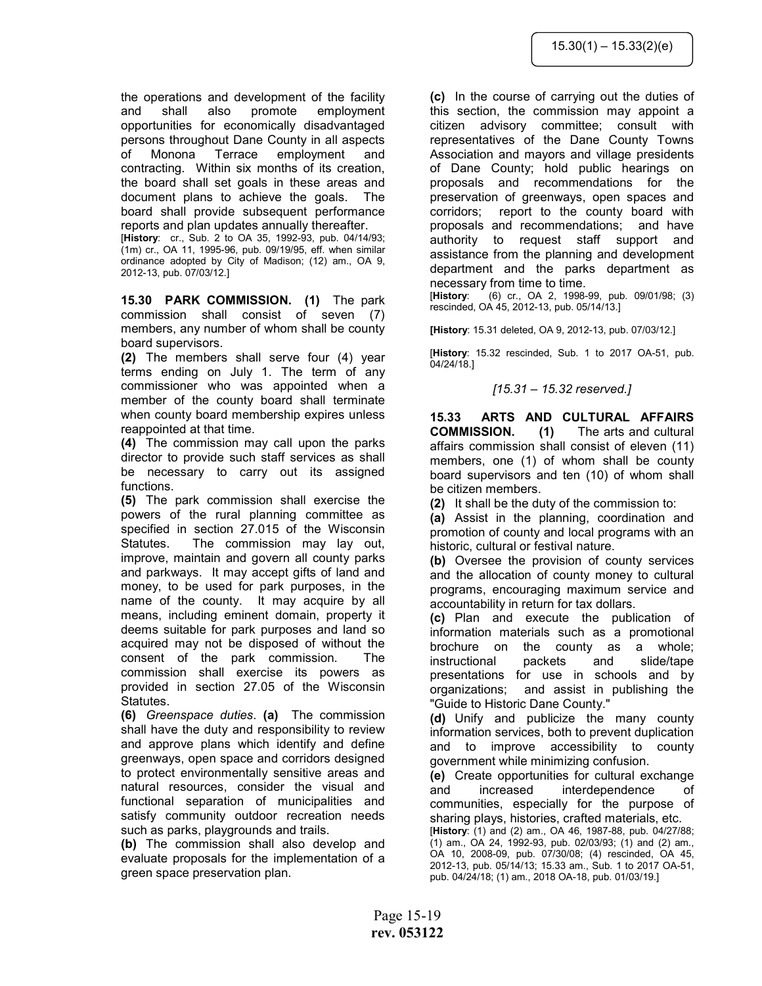the operations and development of the facility and shall also promote employment opportunities for economically disadvantaged persons throughout Dane County in all aspects of Monona Terrace employment and contracting. Within six months of its creation, the board shall set goals in these areas and document plans to achieve the goals. The board shall provide subsequent performance reports and plan updates annually thereafter.

[History: cr., Sub. 2 to OA 35, 1992-93, pub. 04/14/93; (1m) cr., OA 11, 1995-96, pub. 09/19/95, eff. when similar ordinance adopted by City of Madison; (12) am., OA 9, 2012-13, pub. 07/03/12.]

15.30 PARK COMMISSION. (1) The park commission shall consist of seven (7) members, any number of whom shall be county board supervisors.

(2) The members shall serve four (4) year terms ending on July 1. The term of any commissioner who was appointed when a member of the county board shall terminate when county board membership expires unless reappointed at that time.

(4) The commission may call upon the parks director to provide such staff services as shall be necessary to carry out its assigned functions.

(5) The park commission shall exercise the powers of the rural planning committee as specified in section 27.015 of the Wisconsin Statutes. The commission may lay out, improve, maintain and govern all county parks and parkways. It may accept gifts of land and money, to be used for park purposes, in the name of the county. It may acquire by all means, including eminent domain, property it deems suitable for park purposes and land so acquired may not be disposed of without the consent of the park commission. The commission shall exercise its powers as provided in section 27.05 of the Wisconsin Statutes.

(6) Greenspace duties. (a) The commission shall have the duty and responsibility to review and approve plans which identify and define greenways, open space and corridors designed to protect environmentally sensitive areas and natural resources, consider the visual and functional separation of municipalities and satisfy community outdoor recreation needs such as parks, playgrounds and trails.

(b) The commission shall also develop and evaluate proposals for the implementation of a green space preservation plan.

(c) In the course of carrying out the duties of this section, the commission may appoint a citizen advisory committee; consult with representatives of the Dane County Towns Association and mayors and village presidents of Dane County; hold public hearings on proposals and recommendations for the preservation of greenways, open spaces and corridors; report to the county board with proposals and recommendations; and have authority to request staff support and assistance from the planning and development department and the parks department as necessary from time to time.

[History: (6) cr., OA 2, 1998-99, pub. 09/01/98; (3) rescinded, OA 45, 2012-13, pub. 05/14/13.]

[History: 15.31 deleted, OA 9, 2012-13, pub. 07/03/12.]

[History: 15.32 rescinded, Sub. 1 to 2017 OA-51, pub. 04/24/18.]

# [15.31 – 15.32 reserved.]

15.33 ARTS AND CULTURAL AFFAIRS COMMISSION. (1) The arts and cultural affairs commission shall consist of eleven (11) members, one (1) of whom shall be county board supervisors and ten (10) of whom shall be citizen members.

(2) It shall be the duty of the commission to:

(a) Assist in the planning, coordination and promotion of county and local programs with an historic, cultural or festival nature.

(b) Oversee the provision of county services and the allocation of county money to cultural programs, encouraging maximum service and accountability in return for tax dollars.

(c) Plan and execute the publication of information materials such as a promotional brochure on the county as a whole; instructional packets and slide/tape presentations for use in schools and by organizations; and assist in publishing the "Guide to Historic Dane County."

(d) Unify and publicize the many county information services, both to prevent duplication and to improve accessibility to county government while minimizing confusion.

(e) Create opportunities for cultural exchange and increased interdependence of communities, especially for the purpose of sharing plays, histories, crafted materials, etc.

[History: (1) and (2) am., OA 46, 1987-88, pub. 04/27/88; (1) am., OA 24, 1992-93, pub. 02/03/93; (1) and (2) am., OA 10, 2008-09, pub. 07/30/08; (4) rescinded, OA 45, 2012-13, pub. 05/14/13; 15.33 am., Sub. 1 to 2017 OA-51, pub. 04/24/18; (1) am., 2018 OA-18, pub. 01/03/19.]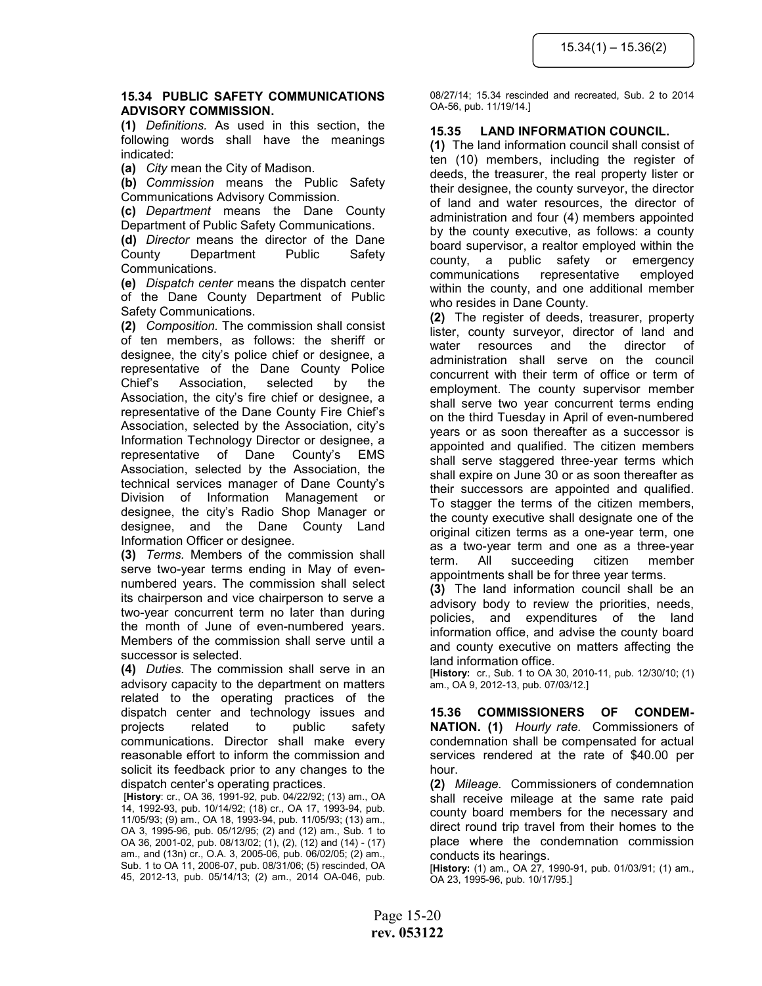#### 15.34 PUBLIC SAFETY COMMUNICATIONS ADVISORY COMMISSION.

(1) Definitions. As used in this section, the following words shall have the meanings indicated:

(a) City mean the City of Madison.

(b) Commission means the Public Safety Communications Advisory Commission.

(c) Department means the Dane County Department of Public Safety Communications.

(d) Director means the director of the Dane County Department Public Safety Communications.

(e) Dispatch center means the dispatch center of the Dane County Department of Public Safety Communications.

(2) Composition. The commission shall consist of ten members, as follows: the sheriff or designee, the city's police chief or designee, a representative of the Dane County Police Chief's Association, selected by the Association, the city's fire chief or designee, a representative of the Dane County Fire Chief's Association, selected by the Association, city's Information Technology Director or designee, a representative of Dane County's EMS Association, selected by the Association, the technical services manager of Dane County's Division of Information Management or designee, the city's Radio Shop Manager or designee, and the Dane County Land Information Officer or designee.

(3) Terms. Members of the commission shall serve two-year terms ending in May of evennumbered years. The commission shall select its chairperson and vice chairperson to serve a two-year concurrent term no later than during the month of June of even-numbered years. Members of the commission shall serve until a successor is selected.

(4) Duties. The commission shall serve in an advisory capacity to the department on matters related to the operating practices of the dispatch center and technology issues and projects related to public safety communications. Director shall make every reasonable effort to inform the commission and solicit its feedback prior to any changes to the dispatch center's operating practices.

 [History: cr., OA 36, 1991-92, pub. 04/22/92; (13) am., OA 14, 1992-93, pub. 10/14/92; (18) cr., OA 17, 1993-94, pub. 11/05/93; (9) am., OA 18, 1993-94, pub. 11/05/93; (13) am., OA 3, 1995-96, pub. 05/12/95; (2) and (12) am., Sub. 1 to OA 36, 2001-02, pub. 08/13/02; (1), (2), (12) and (14) - (17) am., and (13n) cr., O.A. 3, 2005-06, pub. 06/02/05; (2) am., Sub. 1 to OA 11, 2006-07, pub. 08/31/06; (5) rescinded, OA 45, 2012-13, pub. 05/14/13; (2) am., 2014 OA-046, pub.

08/27/14; 15.34 rescinded and recreated, Sub. 2 to 2014 OA-56, pub. 11/19/14.]

# 15.35 LAND INFORMATION COUNCIL.

(1) The land information council shall consist of ten (10) members, including the register of deeds, the treasurer, the real property lister or their designee, the county surveyor, the director of land and water resources, the director of administration and four (4) members appointed by the county executive, as follows: a county board supervisor, a realtor employed within the county, a public safety or emergency communications representative employed within the county, and one additional member who resides in Dane County.

(2) The register of deeds, treasurer, property lister, county surveyor, director of land and water resources and the director of administration shall serve on the council concurrent with their term of office or term of employment. The county supervisor member shall serve two year concurrent terms ending on the third Tuesday in April of even-numbered years or as soon thereafter as a successor is appointed and qualified. The citizen members shall serve staggered three-year terms which shall expire on June 30 or as soon thereafter as their successors are appointed and qualified. To stagger the terms of the citizen members, the county executive shall designate one of the original citizen terms as a one-year term, one as a two-year term and one as a three-year term. All succeeding citizen member appointments shall be for three year terms.

(3) The land information council shall be an advisory body to review the priorities, needs, policies, and expenditures of the land information office, and advise the county board and county executive on matters affecting the land information office.

[History: cr., Sub. 1 to OA 30, 2010-11, pub. 12/30/10; (1) am., OA 9, 2012-13, pub. 07/03/12.]

15.36 COMMISSIONERS OF CONDEM-NATION. (1) Hourly rate. Commissioners of condemnation shall be compensated for actual services rendered at the rate of \$40.00 per hour.

(2) Mileage. Commissioners of condemnation shall receive mileage at the same rate paid county board members for the necessary and direct round trip travel from their homes to the place where the condemnation commission conducts its hearings.

[History: (1) am., OA 27, 1990-91, pub. 01/03/91; (1) am., OA 23, 1995-96, pub. 10/17/95.]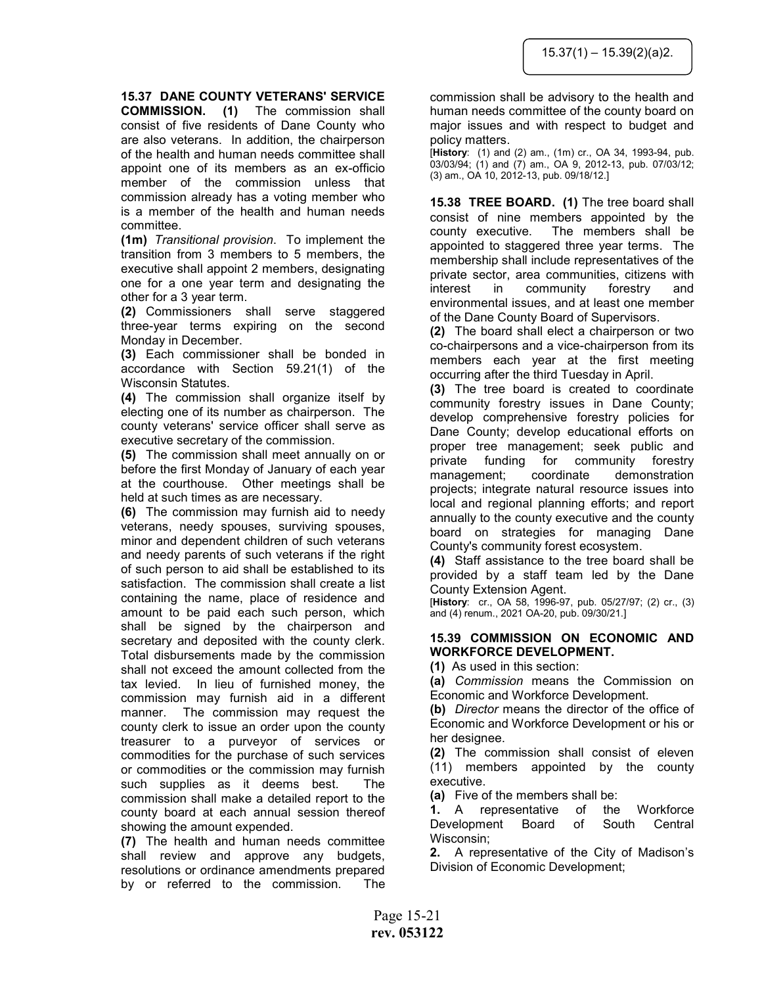## 15.37 DANE COUNTY VETERANS' SERVICE

COMMISSION. (1) The commission shall consist of five residents of Dane County who are also veterans. In addition, the chairperson of the health and human needs committee shall appoint one of its members as an ex-officio member of the commission unless that commission already has a voting member who is a member of the health and human needs committee.

(1m) Transitional provision. To implement the transition from 3 members to 5 members, the executive shall appoint 2 members, designating one for a one year term and designating the other for a 3 year term.

(2) Commissioners shall serve staggered three-year terms expiring on the second Monday in December.

(3) Each commissioner shall be bonded in accordance with Section 59.21(1) of the Wisconsin Statutes.

(4) The commission shall organize itself by electing one of its number as chairperson. The county veterans' service officer shall serve as executive secretary of the commission.

(5) The commission shall meet annually on or before the first Monday of January of each year at the courthouse. Other meetings shall be held at such times as are necessary.

(6) The commission may furnish aid to needy veterans, needy spouses, surviving spouses, minor and dependent children of such veterans and needy parents of such veterans if the right of such person to aid shall be established to its satisfaction. The commission shall create a list containing the name, place of residence and amount to be paid each such person, which shall be signed by the chairperson and secretary and deposited with the county clerk. Total disbursements made by the commission shall not exceed the amount collected from the tax levied. In lieu of furnished money, the commission may furnish aid in a different manner. The commission may request the county clerk to issue an order upon the county treasurer to a purveyor of services or commodities for the purchase of such services or commodities or the commission may furnish such supplies as it deems best. The commission shall make a detailed report to the county board at each annual session thereof showing the amount expended.

(7) The health and human needs committee shall review and approve any budgets, resolutions or ordinance amendments prepared by or referred to the commission. The

commission shall be advisory to the health and human needs committee of the county board on major issues and with respect to budget and policy matters.

[History: (1) and (2) am., (1m) cr., OA 34, 1993-94, pub. 03/03/94; (1) and (7) am., OA 9, 2012-13, pub. 07/03/12; (3) am., OA 10, 2012-13, pub. 09/18/12.]

15.38 TREE BOARD. (1) The tree board shall consist of nine members appointed by the county executive. The members shall be appointed to staggered three year terms. The membership shall include representatives of the private sector, area communities, citizens with interest in community forestry and environmental issues, and at least one member of the Dane County Board of Supervisors.

(2) The board shall elect a chairperson or two co-chairpersons and a vice-chairperson from its members each year at the first meeting occurring after the third Tuesday in April.

(3) The tree board is created to coordinate community forestry issues in Dane County; develop comprehensive forestry policies for Dane County; develop educational efforts on proper tree management; seek public and private funding for community forestry management; coordinate demonstration projects; integrate natural resource issues into local and regional planning efforts; and report annually to the county executive and the county board on strategies for managing Dane County's community forest ecosystem.

(4) Staff assistance to the tree board shall be provided by a staff team led by the Dane County Extension Agent.

 $[History: cr. OA 58, 1996-97, pub. 05/27/97; (2) cr. (3)]$ and (4) renum., 2021 OA-20, pub. 09/30/21.]

#### 15.39 COMMISSION ON ECONOMIC AND WORKFORCE DEVELOPMENT.

(1) As used in this section:

(a) Commission means the Commission on Economic and Workforce Development.

(b) Director means the director of the office of Economic and Workforce Development or his or her designee.

(2) The commission shall consist of eleven (11) members appointed by the county executive.

(a) Five of the members shall be:

1. A representative of the Workforce Development Board of South Central Wisconsin;

2. A representative of the City of Madison's Division of Economic Development;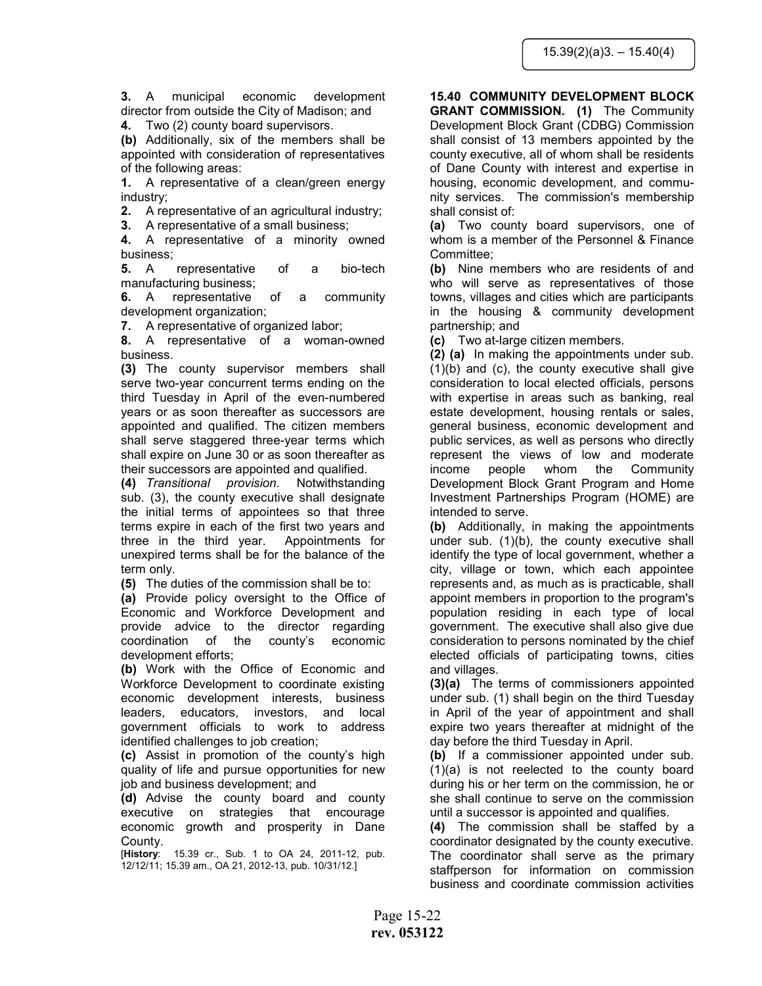3. A municipal economic development director from outside the City of Madison; and

4. Two (2) county board supervisors.

(b) Additionally, six of the members shall be appointed with consideration of representatives of the following areas:

1. A representative of a clean/green energy industry;

2. A representative of an agricultural industry;

3. A representative of a small business;

4. A representative of a minority owned business;

5. A representative of a bio-tech manufacturing business;

6. A representative of a community development organization;

7. A representative of organized labor;

8. A representative of a woman-owned business.

(3) The county supervisor members shall serve two-year concurrent terms ending on the third Tuesday in April of the even-numbered years or as soon thereafter as successors are appointed and qualified. The citizen members shall serve staggered three-year terms which shall expire on June 30 or as soon thereafter as their successors are appointed and qualified.

(4) Transitional provision. Notwithstanding sub. (3), the county executive shall designate the initial terms of appointees so that three terms expire in each of the first two years and three in the third year. Appointments for unexpired terms shall be for the balance of the term only.

(5) The duties of the commission shall be to:

(a) Provide policy oversight to the Office of Economic and Workforce Development and provide advice to the director regarding coordination of the county's economic development efforts;

(b) Work with the Office of Economic and Workforce Development to coordinate existing economic development interests, business leaders, educators, investors, and local government officials to work to address identified challenges to job creation;

(c) Assist in promotion of the county's high quality of life and pursue opportunities for new job and business development; and

(d) Advise the county board and county executive on strategies that encourage economic growth and prosperity in Dane County.

[History: 15.39 cr., Sub. 1 to OA 24, 2011-12, pub. 12/12/11; 15.39 am., OA 21, 2012-13, pub. 10/31/12.]

# 15.40 COMMUNITY DEVELOPMENT BLOCK

GRANT COMMISSION. (1) The Community Development Block Grant (CDBG) Commission shall consist of 13 members appointed by the county executive, all of whom shall be residents of Dane County with interest and expertise in housing, economic development, and community services. The commission's membership shall consist of:

(a) Two county board supervisors, one of whom is a member of the Personnel & Finance Committee;

(b) Nine members who are residents of and who will serve as representatives of those towns, villages and cities which are participants in the housing & community development partnership; and

(c) Two at-large citizen members.

(2) (a) In making the appointments under sub. (1)(b) and (c), the county executive shall give consideration to local elected officials, persons with expertise in areas such as banking, real estate development, housing rentals or sales, general business, economic development and public services, as well as persons who directly represent the views of low and moderate income people whom the Community Development Block Grant Program and Home Investment Partnerships Program (HOME) are intended to serve.

(b) Additionally, in making the appointments under sub. (1)(b), the county executive shall identify the type of local government, whether a city, village or town, which each appointee represents and, as much as is practicable, shall appoint members in proportion to the program's population residing in each type of local government. The executive shall also give due consideration to persons nominated by the chief elected officials of participating towns, cities and villages.

(3)(a) The terms of commissioners appointed under sub. (1) shall begin on the third Tuesday in April of the year of appointment and shall expire two years thereafter at midnight of the day before the third Tuesday in April.

(b) If a commissioner appointed under sub. (1)(a) is not reelected to the county board during his or her term on the commission, he or she shall continue to serve on the commission until a successor is appointed and qualifies.

(4) The commission shall be staffed by a coordinator designated by the county executive. The coordinator shall serve as the primary staffperson for information on commission business and coordinate commission activities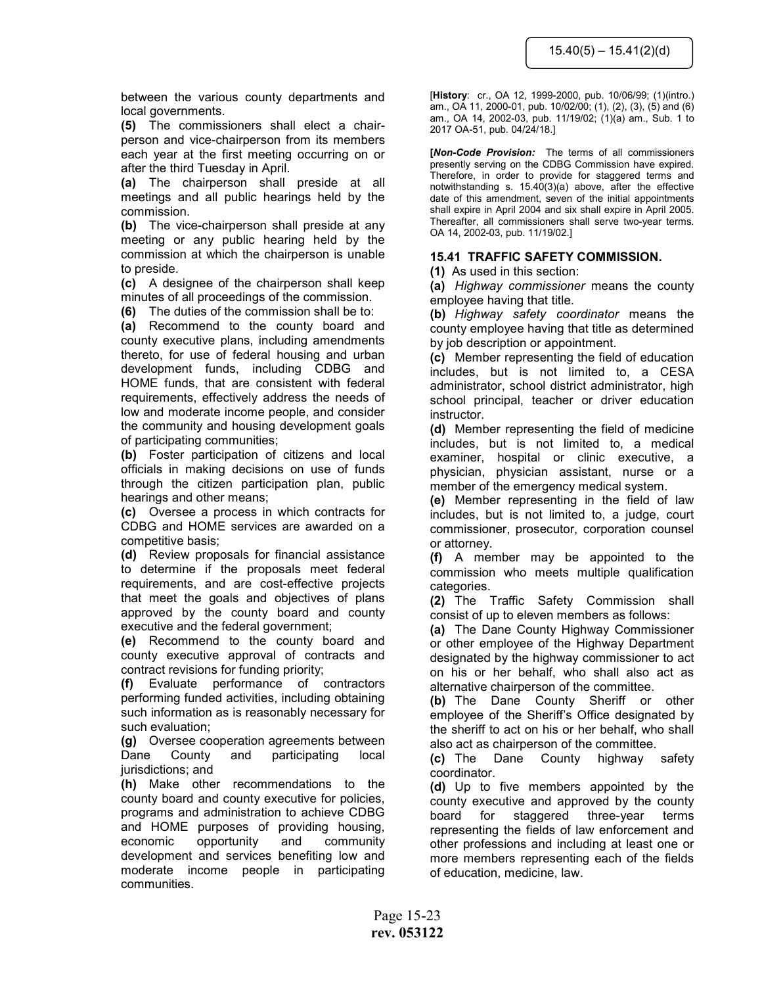between the various county departments and local governments.

(5) The commissioners shall elect a chairperson and vice-chairperson from its members each year at the first meeting occurring on or after the third Tuesday in April.

(a) The chairperson shall preside at all meetings and all public hearings held by the commission.

(b) The vice-chairperson shall preside at any meeting or any public hearing held by the commission at which the chairperson is unable to preside.

(c) A designee of the chairperson shall keep minutes of all proceedings of the commission.

(6) The duties of the commission shall be to:

(a) Recommend to the county board and county executive plans, including amendments thereto, for use of federal housing and urban development funds, including CDBG and HOME funds, that are consistent with federal requirements, effectively address the needs of low and moderate income people, and consider the community and housing development goals of participating communities;

(b) Foster participation of citizens and local officials in making decisions on use of funds through the citizen participation plan, public hearings and other means;

(c) Oversee a process in which contracts for CDBG and HOME services are awarded on a competitive basis;

(d) Review proposals for financial assistance to determine if the proposals meet federal requirements, and are cost-effective projects that meet the goals and objectives of plans approved by the county board and county executive and the federal government;

(e) Recommend to the county board and county executive approval of contracts and contract revisions for funding priority;

(f) Evaluate performance of contractors performing funded activities, including obtaining such information as is reasonably necessary for such evaluation;

(g) Oversee cooperation agreements between Dane County and participating local jurisdictions; and

(h) Make other recommendations to the county board and county executive for policies, programs and administration to achieve CDBG and HOME purposes of providing housing, economic opportunity and community development and services benefiting low and moderate income people in participating communities.

[History: cr., OA 12, 1999-2000, pub. 10/06/99; (1)(intro.) am., OA 11, 2000-01, pub. 10/02/00; (1), (2), (3), (5) and (6) am., OA 14, 2002-03, pub. 11/19/02; (1)(a) am., Sub. 1 to 2017 OA-51, pub. 04/24/18.]

[Non-Code Provision: The terms of all commissioners presently serving on the CDBG Commission have expired. Therefore, in order to provide for staggered terms and notwithstanding s. 15.40(3)(a) above, after the effective date of this amendment, seven of the initial appointments shall expire in April 2004 and six shall expire in April 2005. Thereafter, all commissioners shall serve two-year terms. OA 14, 2002-03, pub. 11/19/02.]

# 15.41 TRAFFIC SAFETY COMMISSION.

(1) As used in this section:

(a) Highway commissioner means the county employee having that title.

(b) Highway safety coordinator means the county employee having that title as determined by job description or appointment.

(c) Member representing the field of education includes, but is not limited to, a CESA administrator, school district administrator, high school principal, teacher or driver education instructor.

(d) Member representing the field of medicine includes, but is not limited to, a medical examiner, hospital or clinic executive, a physician, physician assistant, nurse or a member of the emergency medical system.

(e) Member representing in the field of law includes, but is not limited to, a judge, court commissioner, prosecutor, corporation counsel or attorney.

(f) A member may be appointed to the commission who meets multiple qualification categories.

(2) The Traffic Safety Commission shall consist of up to eleven members as follows:

(a) The Dane County Highway Commissioner or other employee of the Highway Department designated by the highway commissioner to act on his or her behalf, who shall also act as alternative chairperson of the committee.

(b) The Dane County Sheriff or other employee of the Sheriff's Office designated by the sheriff to act on his or her behalf, who shall also act as chairperson of the committee.

(c) The Dane County highway safety coordinator.

(d) Up to five members appointed by the county executive and approved by the county board for staggered three-year terms representing the fields of law enforcement and other professions and including at least one or more members representing each of the fields of education, medicine, law.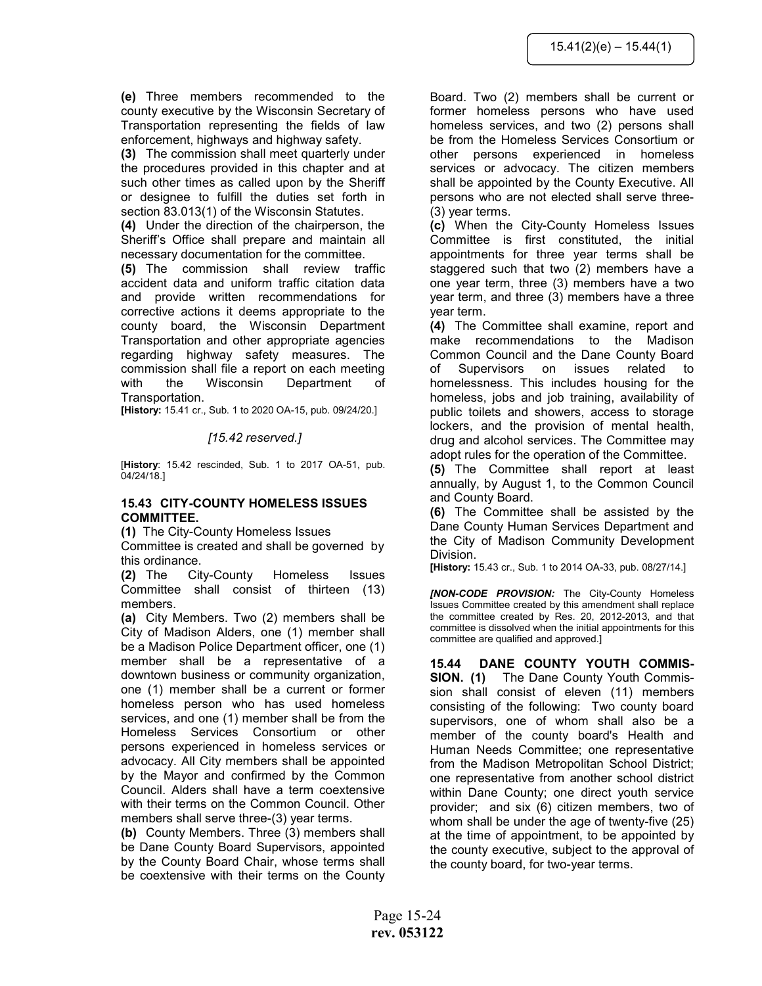(e) Three members recommended to the county executive by the Wisconsin Secretary of Transportation representing the fields of law enforcement, highways and highway safety.

(3) The commission shall meet quarterly under the procedures provided in this chapter and at such other times as called upon by the Sheriff or designee to fulfill the duties set forth in section 83.013(1) of the Wisconsin Statutes.

(4) Under the direction of the chairperson, the Sheriff's Office shall prepare and maintain all necessary documentation for the committee.

(5) The commission shall review traffic accident data and uniform traffic citation data and provide written recommendations for corrective actions it deems appropriate to the county board, the Wisconsin Department Transportation and other appropriate agencies regarding highway safety measures. The commission shall file a report on each meeting with the Wisconsin Department of Transportation.

[History: 15.41 cr., Sub. 1 to 2020 OA-15, pub. 09/24/20.]

## [15.42 reserved.]

[History: 15.42 rescinded, Sub. 1 to 2017 OA-51, pub. 04/24/18.]

#### 15.43 CITY-COUNTY HOMELESS ISSUES COMMITTEE.

(1) The City-County Homeless Issues

Committee is created and shall be governed by this ordinance.

(2) The City-County Homeless Issues Committee shall consist of thirteen (13) members.

(a) City Members. Two (2) members shall be City of Madison Alders, one (1) member shall be a Madison Police Department officer, one (1) member shall be a representative of a downtown business or community organization, one (1) member shall be a current or former homeless person who has used homeless services, and one (1) member shall be from the Homeless Services Consortium or other persons experienced in homeless services or advocacy. All City members shall be appointed by the Mayor and confirmed by the Common Council. Alders shall have a term coextensive with their terms on the Common Council. Other members shall serve three-(3) year terms.

(b) County Members. Three (3) members shall be Dane County Board Supervisors, appointed by the County Board Chair, whose terms shall be coextensive with their terms on the County

Board. Two (2) members shall be current or former homeless persons who have used homeless services, and two (2) persons shall be from the Homeless Services Consortium or other persons experienced in homeless services or advocacy. The citizen members shall be appointed by the County Executive. All persons who are not elected shall serve three- (3) year terms.

(c) When the City-County Homeless Issues Committee is first constituted, the initial appointments for three year terms shall be staggered such that two (2) members have a one year term, three (3) members have a two year term, and three (3) members have a three year term.

(4) The Committee shall examine, report and make recommendations to the Madison Common Council and the Dane County Board of Supervisors on issues related to homelessness. This includes housing for the homeless, jobs and job training, availability of public toilets and showers, access to storage lockers, and the provision of mental health, drug and alcohol services. The Committee may adopt rules for the operation of the Committee.

(5) The Committee shall report at least annually, by August 1, to the Common Council and County Board.

(6) The Committee shall be assisted by the Dane County Human Services Department and the City of Madison Community Development Division.

[History: 15.43 cr., Sub. 1 to 2014 OA-33, pub. 08/27/14.]

[NON-CODE PROVISION: The City-County Homeless Issues Committee created by this amendment shall replace the committee created by Res. 20, 2012-2013, and that committee is dissolved when the initial appointments for this committee are qualified and approved.]

15.44 DANE COUNTY YOUTH COMMIS-SION. (1) The Dane County Youth Commission shall consist of eleven (11) members consisting of the following: Two county board supervisors, one of whom shall also be a member of the county board's Health and Human Needs Committee; one representative from the Madison Metropolitan School District; one representative from another school district within Dane County; one direct youth service provider; and six (6) citizen members, two of whom shall be under the age of twenty-five (25) at the time of appointment, to be appointed by the county executive, subject to the approval of the county board, for two-year terms.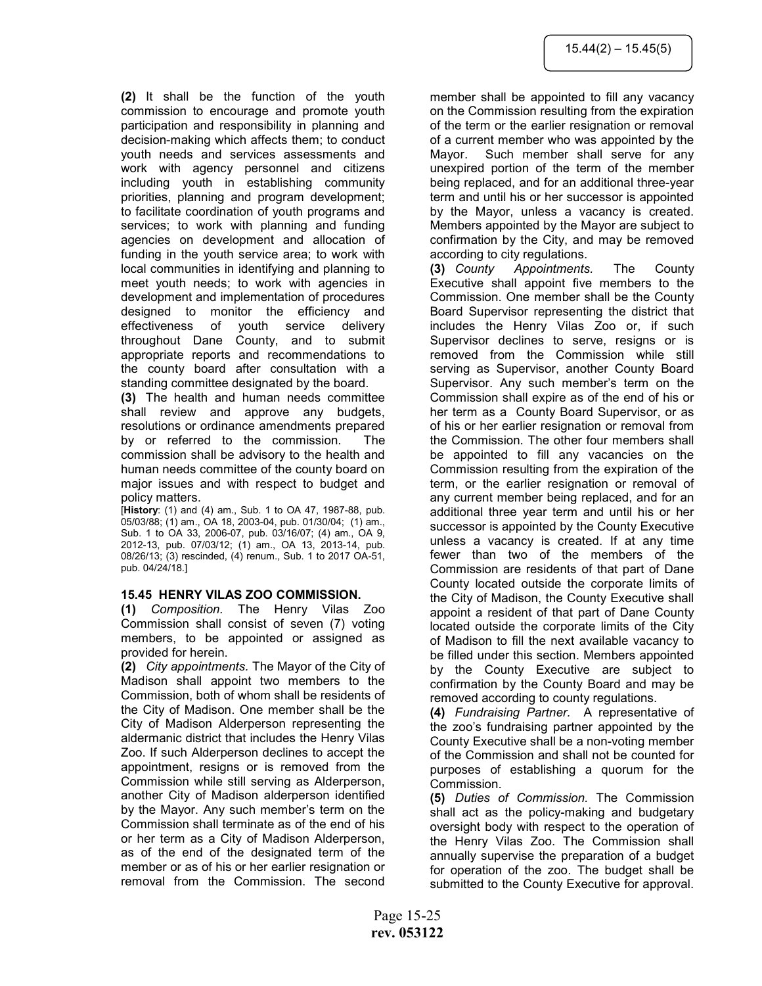(2) It shall be the function of the youth commission to encourage and promote youth participation and responsibility in planning and decision-making which affects them; to conduct youth needs and services assessments and work with agency personnel and citizens including youth in establishing community priorities, planning and program development; to facilitate coordination of youth programs and services; to work with planning and funding agencies on development and allocation of funding in the youth service area; to work with local communities in identifying and planning to meet youth needs; to work with agencies in development and implementation of procedures designed to monitor the efficiency and effectiveness of youth service delivery throughout Dane County, and to submit appropriate reports and recommendations to the county board after consultation with a standing committee designated by the board.

(3) The health and human needs committee shall review and approve any budgets, resolutions or ordinance amendments prepared by or referred to the commission. The commission shall be advisory to the health and human needs committee of the county board on major issues and with respect to budget and policy matters.

[History: (1) and (4) am., Sub. 1 to OA 47, 1987-88, pub. 05/03/88; (1) am., OA 18, 2003-04, pub. 01/30/04; (1) am., Sub. 1 to OA 33, 2006-07, pub. 03/16/07; (4) am., OA 9, 2012-13, pub. 07/03/12; (1) am., OA 13, 2013-14, pub. 08/26/13; (3) rescinded, (4) renum., Sub. 1 to 2017 OA-51, pub. 04/24/18.]

#### 15.45 HENRY VILAS ZOO COMMISSION.

(1) Composition. The Henry Vilas Zoo Commission shall consist of seven (7) voting members, to be appointed or assigned as provided for herein.

(2) City appointments. The Mayor of the City of Madison shall appoint two members to the Commission, both of whom shall be residents of the City of Madison. One member shall be the City of Madison Alderperson representing the aldermanic district that includes the Henry Vilas Zoo. If such Alderperson declines to accept the appointment, resigns or is removed from the Commission while still serving as Alderperson, another City of Madison alderperson identified by the Mayor. Any such member's term on the Commission shall terminate as of the end of his or her term as a City of Madison Alderperson, as of the end of the designated term of the member or as of his or her earlier resignation or removal from the Commission. The second

member shall be appointed to fill any vacancy on the Commission resulting from the expiration of the term or the earlier resignation or removal of a current member who was appointed by the Mayor. Such member shall serve for any unexpired portion of the term of the member being replaced, and for an additional three-year term and until his or her successor is appointed by the Mayor, unless a vacancy is created. Members appointed by the Mayor are subject to confirmation by the City, and may be removed according to city regulations.

(3) County Appointments. The County Executive shall appoint five members to the Commission. One member shall be the County Board Supervisor representing the district that includes the Henry Vilas Zoo or, if such Supervisor declines to serve, resigns or is removed from the Commission while still serving as Supervisor, another County Board Supervisor. Any such member's term on the Commission shall expire as of the end of his or her term as a County Board Supervisor, or as of his or her earlier resignation or removal from the Commission. The other four members shall be appointed to fill any vacancies on the Commission resulting from the expiration of the term, or the earlier resignation or removal of any current member being replaced, and for an additional three year term and until his or her successor is appointed by the County Executive unless a vacancy is created. If at any time fewer than two of the members of the Commission are residents of that part of Dane County located outside the corporate limits of the City of Madison, the County Executive shall appoint a resident of that part of Dane County located outside the corporate limits of the City of Madison to fill the next available vacancy to be filled under this section. Members appointed by the County Executive are subject to confirmation by the County Board and may be removed according to county regulations.

(4) Fundraising Partner. A representative of the zoo's fundraising partner appointed by the County Executive shall be a non-voting member of the Commission and shall not be counted for purposes of establishing a quorum for the Commission.

(5) Duties of Commission. The Commission shall act as the policy-making and budgetary oversight body with respect to the operation of the Henry Vilas Zoo. The Commission shall annually supervise the preparation of a budget for operation of the zoo. The budget shall be submitted to the County Executive for approval.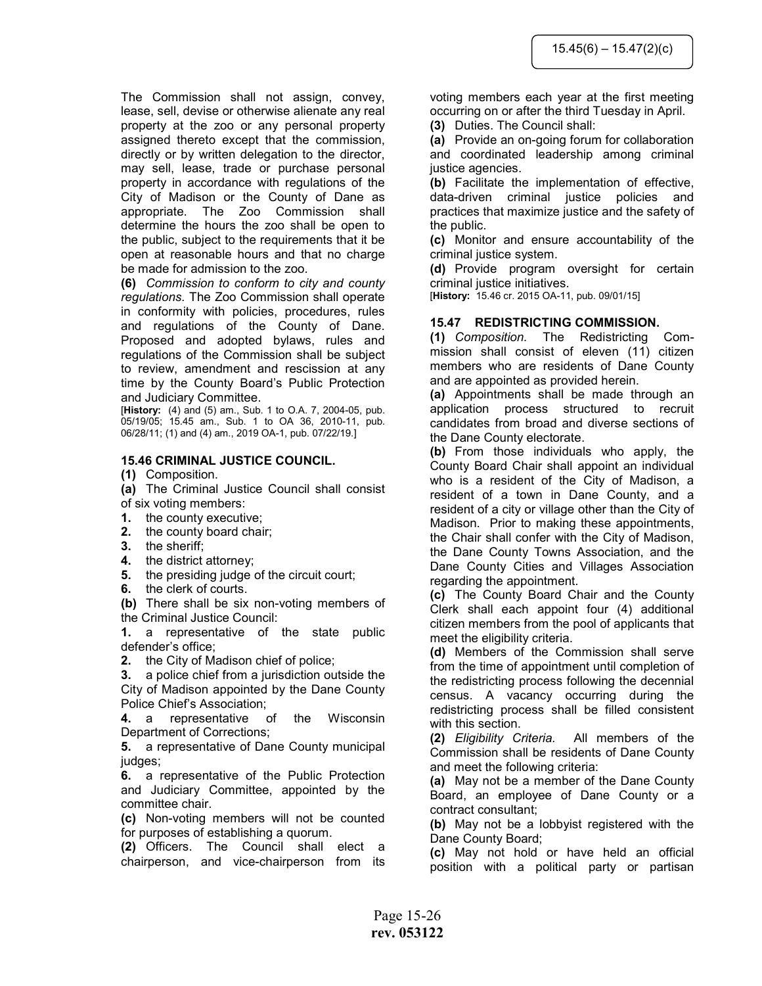The Commission shall not assign, convey, lease, sell, devise or otherwise alienate any real property at the zoo or any personal property assigned thereto except that the commission, directly or by written delegation to the director, may sell, lease, trade or purchase personal property in accordance with regulations of the City of Madison or the County of Dane as appropriate. The Zoo Commission shall determine the hours the zoo shall be open to the public, subject to the requirements that it be open at reasonable hours and that no charge be made for admission to the zoo.

(6) Commission to conform to city and county regulations. The Zoo Commission shall operate in conformity with policies, procedures, rules and regulations of the County of Dane. Proposed and adopted bylaws, rules and regulations of the Commission shall be subject to review, amendment and rescission at any time by the County Board's Public Protection and Judiciary Committee.

[History: (4) and (5) am., Sub. 1 to O.A. 7, 2004-05, pub. 05/19/05; 15.45 am., Sub. 1 to OA 36, 2010-11, pub. 06/28/11; (1) and (4) am., 2019 OA-1, pub. 07/22/19.]

#### 15.46 CRIMINAL JUSTICE COUNCIL.

(1) Composition.

(a) The Criminal Justice Council shall consist of six voting members:

- 1. the county executive;
- 2. the county board chair;
- 3. the sheriff;
- 4. the district attorney;
- 5. the presiding judge of the circuit court;
- 6. the clerk of courts.

(b) There shall be six non-voting members of the Criminal Justice Council:

1. a representative of the state public defender's office;

2. the City of Madison chief of police;

3. a police chief from a jurisdiction outside the City of Madison appointed by the Dane County Police Chief's Association;

4. a representative of the Wisconsin Department of Corrections;

5. a representative of Dane County municipal judges;

6. a representative of the Public Protection and Judiciary Committee, appointed by the committee chair.

(c) Non-voting members will not be counted for purposes of establishing a quorum.

(2) Officers. The Council shall elect a chairperson, and vice-chairperson from its voting members each year at the first meeting occurring on or after the third Tuesday in April.

(3) Duties. The Council shall:

(a) Provide an on-going forum for collaboration and coordinated leadership among criminal justice agencies.

(b) Facilitate the implementation of effective, data-driven criminal justice policies and practices that maximize justice and the safety of the public.

(c) Monitor and ensure accountability of the criminal justice system.

(d) Provide program oversight for certain criminal justice initiatives.

[History: 15.46 cr. 2015 OA-11, pub. 09/01/15]

#### 15.47 REDISTRICTING COMMISSION.

(1) Composition. The Redistricting Commission shall consist of eleven (11) citizen members who are residents of Dane County and are appointed as provided herein.

(a) Appointments shall be made through an application process structured to recruit candidates from broad and diverse sections of the Dane County electorate.

(b) From those individuals who apply, the County Board Chair shall appoint an individual who is a resident of the City of Madison, a resident of a town in Dane County, and a resident of a city or village other than the City of Madison. Prior to making these appointments, the Chair shall confer with the City of Madison, the Dane County Towns Association, and the Dane County Cities and Villages Association regarding the appointment.

(c) The County Board Chair and the County Clerk shall each appoint four (4) additional citizen members from the pool of applicants that meet the eligibility criteria.

(d) Members of the Commission shall serve from the time of appointment until completion of the redistricting process following the decennial census. A vacancy occurring during the redistricting process shall be filled consistent with this section.

(2) Eligibility Criteria. All members of the Commission shall be residents of Dane County and meet the following criteria:

(a) May not be a member of the Dane County Board, an employee of Dane County or a contract consultant;

(b) May not be a lobbyist registered with the Dane County Board;

(c) May not hold or have held an official position with a political party or partisan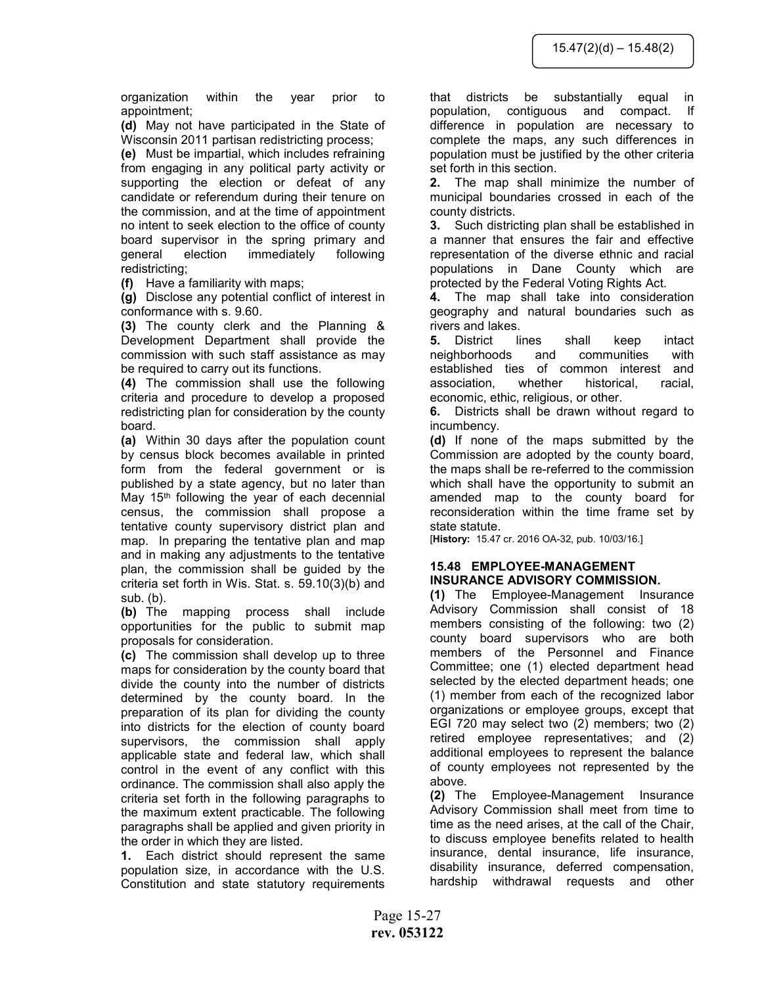organization within the year prior to appointment;

(d) May not have participated in the State of Wisconsin 2011 partisan redistricting process;

(e) Must be impartial, which includes refraining from engaging in any political party activity or supporting the election or defeat of any candidate or referendum during their tenure on the commission, and at the time of appointment no intent to seek election to the office of county board supervisor in the spring primary and general election immediately following redistricting;

(f) Have a familiarity with maps;

(g) Disclose any potential conflict of interest in conformance with s. 9.60.

(3) The county clerk and the Planning & Development Department shall provide the commission with such staff assistance as may be required to carry out its functions.

(4) The commission shall use the following criteria and procedure to develop a proposed redistricting plan for consideration by the county board.

(a) Within 30 days after the population count by census block becomes available in printed form from the federal government or is published by a state agency, but no later than May 15<sup>th</sup> following the year of each decennial census, the commission shall propose a tentative county supervisory district plan and map. In preparing the tentative plan and map and in making any adjustments to the tentative plan, the commission shall be guided by the criteria set forth in Wis. Stat. s. 59.10(3)(b) and sub. (b).

(b) The mapping process shall include opportunities for the public to submit map proposals for consideration.

(c) The commission shall develop up to three maps for consideration by the county board that divide the county into the number of districts determined by the county board. In the preparation of its plan for dividing the county into districts for the election of county board supervisors, the commission shall apply applicable state and federal law, which shall control in the event of any conflict with this ordinance. The commission shall also apply the criteria set forth in the following paragraphs to the maximum extent practicable. The following paragraphs shall be applied and given priority in the order in which they are listed.

1. Each district should represent the same population size, in accordance with the U.S. Constitution and state statutory requirements that districts be substantially equal in population, contiguous and compact. If difference in population are necessary to complete the maps, any such differences in population must be justified by the other criteria set forth in this section.

2. The map shall minimize the number of municipal boundaries crossed in each of the county districts.

3. Such districting plan shall be established in a manner that ensures the fair and effective representation of the diverse ethnic and racial populations in Dane County which are protected by the Federal Voting Rights Act.

4. The map shall take into consideration geography and natural boundaries such as rivers and lakes.

5. District lines shall keep intact neighborhoods and communities with established ties of common interest and association, whether historical, racial, economic, ethic, religious, or other.

6. Districts shall be drawn without regard to incumbency.

(d) If none of the maps submitted by the Commission are adopted by the county board, the maps shall be re-referred to the commission which shall have the opportunity to submit an amended map to the county board for reconsideration within the time frame set by state statute.

[History: 15.47 cr. 2016 OA-32, pub. 10/03/16.]

# 15.48 EMPLOYEE-MANAGEMENT INSURANCE ADVISORY COMMISSION.

(1) The Employee-Management Insurance Advisory Commission shall consist of 18 members consisting of the following: two (2) county board supervisors who are both members of the Personnel and Finance Committee; one (1) elected department head selected by the elected department heads; one (1) member from each of the recognized labor organizations or employee groups, except that EGI 720 may select two (2) members; two (2) retired employee representatives; and (2) additional employees to represent the balance of county employees not represented by the above.

(2) The Employee-Management Insurance Advisory Commission shall meet from time to time as the need arises, at the call of the Chair, to discuss employee benefits related to health insurance, dental insurance, life insurance, disability insurance, deferred compensation, hardship withdrawal requests and other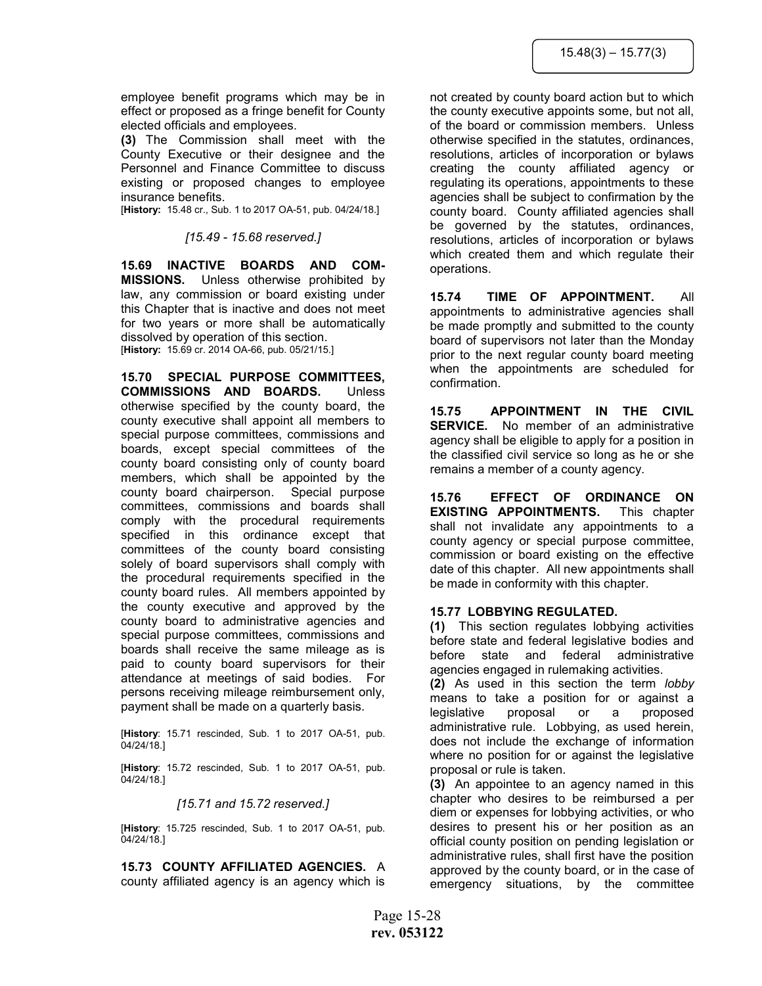employee benefit programs which may be in effect or proposed as a fringe benefit for County elected officials and employees.

(3) The Commission shall meet with the County Executive or their designee and the Personnel and Finance Committee to discuss existing or proposed changes to employee insurance benefits.

[History: 15.48 cr., Sub. 1 to 2017 OA-51, pub. 04/24/18.]

#### [15.49 - 15.68 reserved.]

15.69 INACTIVE BOARDS AND COM-MISSIONS. Unless otherwise prohibited by law, any commission or board existing under this Chapter that is inactive and does not meet for two years or more shall be automatically dissolved by operation of this section. [History: 15.69 cr. 2014 OA-66, pub. 05/21/15.]

15.70 SPECIAL PURPOSE COMMITTEES, COMMISSIONS AND BOARDS. Unless otherwise specified by the county board, the county executive shall appoint all members to special purpose committees, commissions and boards, except special committees of the county board consisting only of county board members, which shall be appointed by the county board chairperson. Special purpose committees, commissions and boards shall comply with the procedural requirements specified in this ordinance except that committees of the county board consisting solely of board supervisors shall comply with the procedural requirements specified in the county board rules. All members appointed by the county executive and approved by the county board to administrative agencies and special purpose committees, commissions and boards shall receive the same mileage as is paid to county board supervisors for their attendance at meetings of said bodies. For persons receiving mileage reimbursement only, payment shall be made on a quarterly basis.

[History: 15.71 rescinded, Sub. 1 to 2017 OA-51, pub. 04/24/18.]

[History: 15.72 rescinded, Sub. 1 to 2017 OA-51, pub. 04/24/18.]

#### [15.71 and 15.72 reserved.]

[History: 15.725 rescinded, Sub. 1 to 2017 OA-51, pub. 04/24/18.]

15.73 COUNTY AFFILIATED AGENCIES. A county affiliated agency is an agency which is

not created by county board action but to which the county executive appoints some, but not all, of the board or commission members. Unless otherwise specified in the statutes, ordinances, resolutions, articles of incorporation or bylaws creating the county affiliated agency or regulating its operations, appointments to these agencies shall be subject to confirmation by the county board. County affiliated agencies shall be governed by the statutes, ordinances, resolutions, articles of incorporation or bylaws which created them and which regulate their operations.

15.74 TIME OF APPOINTMENT. All appointments to administrative agencies shall be made promptly and submitted to the county board of supervisors not later than the Monday prior to the next regular county board meeting when the appointments are scheduled for confirmation.

15.75 APPOINTMENT IN THE CIVIL SERVICE. No member of an administrative agency shall be eligible to apply for a position in the classified civil service so long as he or she remains a member of a county agency.

15.76 EFFECT OF ORDINANCE ON EXISTING APPOINTMENTS. This chapter shall not invalidate any appointments to a county agency or special purpose committee, commission or board existing on the effective date of this chapter. All new appointments shall be made in conformity with this chapter.

#### 15.77 LOBBYING REGULATED.

(1) This section regulates lobbying activities before state and federal legislative bodies and before state and federal administrative agencies engaged in rulemaking activities.

(2) As used in this section the term lobby means to take a position for or against a legislative proposal or a proposed administrative rule. Lobbying, as used herein, does not include the exchange of information where no position for or against the legislative proposal or rule is taken.

(3) An appointee to an agency named in this chapter who desires to be reimbursed a per diem or expenses for lobbying activities, or who desires to present his or her position as an official county position on pending legislation or administrative rules, shall first have the position approved by the county board, or in the case of emergency situations, by the committee